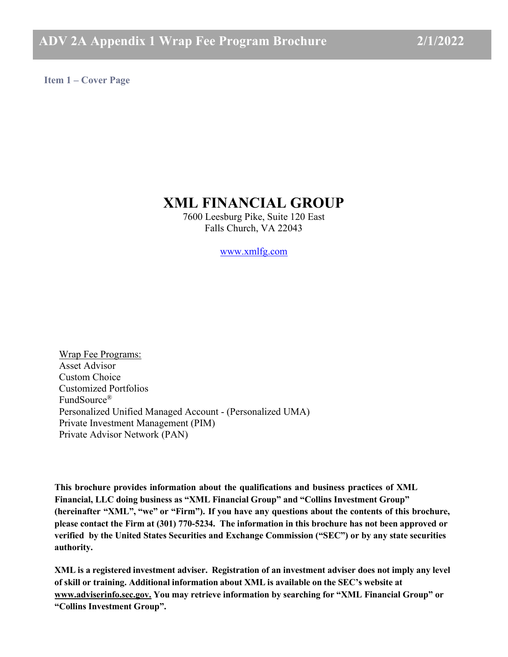<span id="page-0-0"></span>**Item 1 – Cover Page**

# **XML FINANCIAL GROUP**

7600 Leesburg Pike, Suite 120 East Falls Church, VA 22043

[www.xmlfg.com](https://www.xmlfg.com/)

Wrap Fee Programs: Asset Advisor Custom Choice Customized Portfolios FundSource® Personalized Unified Managed Account - (Personalized UMA) Private Investment Management (PIM) Private Advisor Network (PAN)

**This brochure provides information about the qualifications and business practices of XML Financial, LLC doing business as "XML Financial Group" and "Collins Investment Group" (hereinafter "XML", "we" or "Firm"). If you have any questions about the contents of this brochure, please contact the Firm at (301) 770-5234. The information in this brochure has not been approved or verified by the United States Securities and Exchange Commission ("SEC") or by any state securities authority.**

**XML is a registered investment adviser. Registration of an investment adviser does not imply any level of skill or training. Additional information about XML is available on the SEC's website at [www.adviserinfo.sec.gov.](http://www.adviserinfo.sec.gov./) You may retrieve information by searching for "XML Financial Group" or "Collins Investment Group".**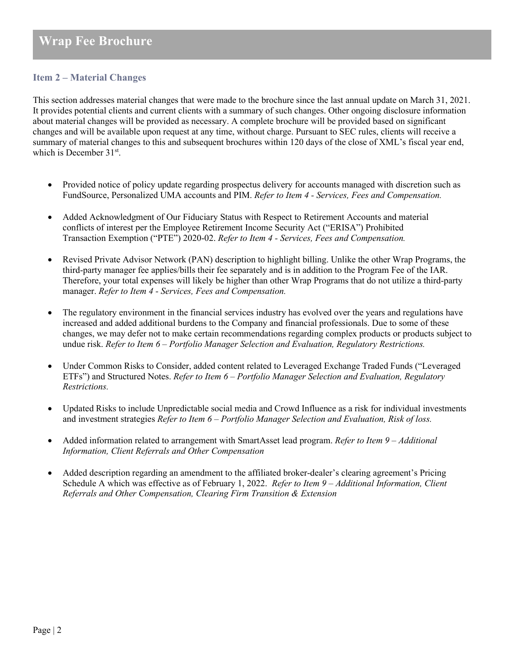# **Item 2 – Material Changes**

This section addresses material changes that were made to the brochure since the last annual update on March 31, 2021. It provides potential clients and current clients with a summary of such changes. Other ongoing disclosure information about material changes will be provided as necessary. A complete brochure will be provided based on significant changes and will be available upon request at any time, without charge. Pursuant to SEC rules, clients will receive a summary of material changes to this and subsequent brochures within 120 days of the close of XML's fiscal year end, which is December 31<sup>st</sup>.

- Provided notice of policy update regarding prospectus delivery for accounts managed with discretion such as FundSource, Personalized UMA accounts and PIM. *Refer to Item 4 - Services, Fees and Compensation.*
- Added Acknowledgment of Our Fiduciary Status with Respect to Retirement Accounts and material conflicts of interest per the Employee Retirement Income Security Act ("ERISA") Prohibited Transaction Exemption ("PTE") 2020-02. *Refer to Item 4 - Services, Fees and Compensation.*
- Revised Private Advisor Network (PAN) description to highlight billing. Unlike the other Wrap Programs, the third-party manager fee applies/bills their fee separately and is in addition to the Program Fee of the IAR. Therefore, your total expenses will likely be higher than other Wrap Programs that do not utilize a third-party manager. *Refer to Item 4 - Services, Fees and Compensation.*
- The regulatory environment in the financial services industry has evolved over the years and regulations have increased and added additional burdens to the Company and financial professionals. Due to some of these changes, we may defer not to make certain recommendations regarding complex products or products subject to undue risk. *Refer to Item 6 – Portfolio Manager Selection and Evaluation, Regulatory Restrictions.*
- Under Common Risks to Consider, added content related to Leveraged Exchange Traded Funds ("Leveraged" ETFs") and Structured Notes. *Refer to Item 6 – Portfolio Manager Selection and Evaluation, Regulatory Restrictions.*
- Updated Risks to include Unpredictable social media and Crowd Influence as a risk for individual investments and investment strategies *Refer to Item 6 – Portfolio Manager Selection and Evaluation, Risk of loss.*
- Added information related to arrangement with SmartAsset lead program. *Refer to Item 9 Additional Information, Client Referrals and Other Compensation*
- Added description regarding an amendment to the affiliated broker-dealer's clearing agreement's Pricing Schedule A which was effective as of February 1, 2022. *Refer to Item 9 – Additional Information, Client Referrals and Other Compensation, Clearing Firm Transition & Extension*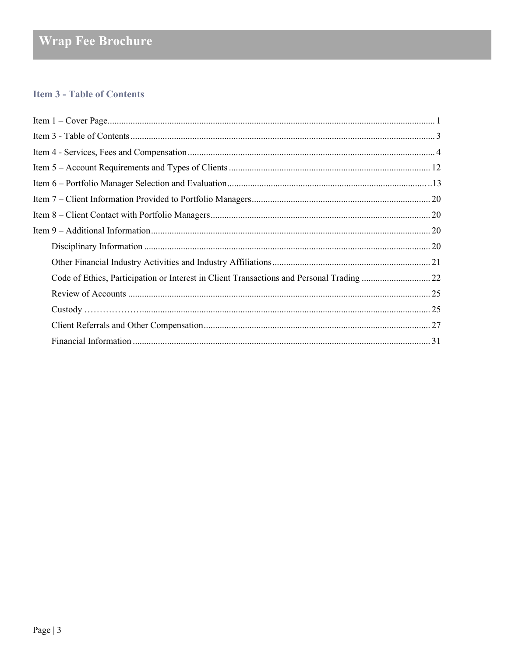# <span id="page-2-0"></span>**Item 3 - Table of Contents**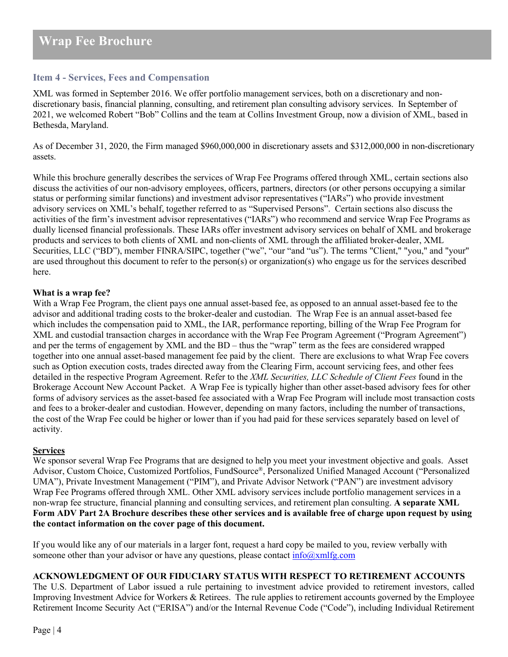# <span id="page-3-0"></span>**Item 4 - Services, Fees and Compensation**

XML was formed in September 2016. We offer portfolio management services, both on a discretionary and nondiscretionary basis, financial planning, consulting, and retirement plan consulting advisory services. In September of 2021, we welcomed Robert "Bob" Collins and the team at Collins Investment Group, now a division of XML, based in Bethesda, Maryland.

As of December 31, 2020, the Firm managed \$960,000,000 in discretionary assets and \$312,000,000 in non-discretionary assets.

While this brochure generally describes the services of Wrap Fee Programs offered through XML, certain sections also discuss the activities of our non-advisory employees, officers, partners, directors (or other persons occupying a similar status or performing similar functions) and investment advisor representatives ("IARs") who provide investment advisory services on XML's behalf, together referred to as "Supervised Persons". Certain sections also discuss the activities of the firm's investment advisor representatives ("IARs") who recommend and service Wrap Fee Programs as dually licensed financial professionals. These IARs offer investment advisory services on behalf of XML and brokerage products and services to both clients of XML and non-clients of XML through the affiliated broker-dealer, XML Securities, LLC ("BD"), member FINRA/SIPC, together ("we", "our "and "us"). The terms "Client," "you," and "your" are used throughout this document to refer to the person(s) or organization(s) who engage us for the services described here.

### **What is a wrap fee?**

With a Wrap Fee Program, the client pays one annual asset-based fee, as opposed to an annual asset-based fee to the advisor and additional trading costs to the broker-dealer and custodian. The Wrap Fee is an annual asset-based fee which includes the compensation paid to XML, the IAR, performance reporting, billing of the Wrap Fee Program for XML and custodial transaction charges in accordance with the Wrap Fee Program Agreement ("Program Agreement") and per the terms of engagement by XML and the BD – thus the "wrap" term as the fees are considered wrapped together into one annual asset-based management fee paid by the client. There are exclusions to what Wrap Fee covers such as Option execution costs, trades directed away from the Clearing Firm, account servicing fees, and other fees detailed in the respective Program Agreement. Refer to the *XML Securities, LLC Schedule of Client Fees* found in the Brokerage Account New Account Packet. A Wrap Fee is typically higher than other asset-based advisory fees for other forms of advisory services as the asset-based fee associated with a Wrap Fee Program will include most transaction costs and fees to a broker-dealer and custodian. However, depending on many factors, including the number of transactions, the cost of the Wrap Fee could be higher or lower than if you had paid for these services separately based on level of activity.

# **Services**

We sponsor several Wrap Fee Programs that are designed to help you meet your investment objective and goals. Asset Advisor, Custom Choice, Customized Portfolios, FundSource®, Personalized Unified Managed Account ("Personalized UMA"), Private Investment Management ("PIM"), and Private Advisor Network ("PAN") are investment advisory Wrap Fee Programs offered through XML. Other XML advisory services include portfolio management services in a non-wrap fee structure, financial planning and consulting services, and retirement plan consulting. **A separate XML Form ADV Part 2A Brochure describes these other services and is available free of charge upon request by using the contact information on the cover page of this document.**

If you would like any of our materials in a larger font, request a hard copy be mailed to you, review verbally with someone other than your advisor or have any questions, please contact  $\frac{info(\partial xm)fg.com}{info(\partial xm)fg.com}$ 

## **ACKNOWLEDGMENT OF OUR FIDUCIARY STATUS WITH RESPECT TO RETIREMENT ACCOUNTS**

The U.S. Department of Labor issued a rule pertaining to investment advice provided to retirement investors, called Improving Investment Advice for Workers & Retirees. The rule applies to retirement accounts governed by the Employee Retirement Income Security Act ("ERISA") and/or the Internal Revenue Code ("Code"), including Individual Retirement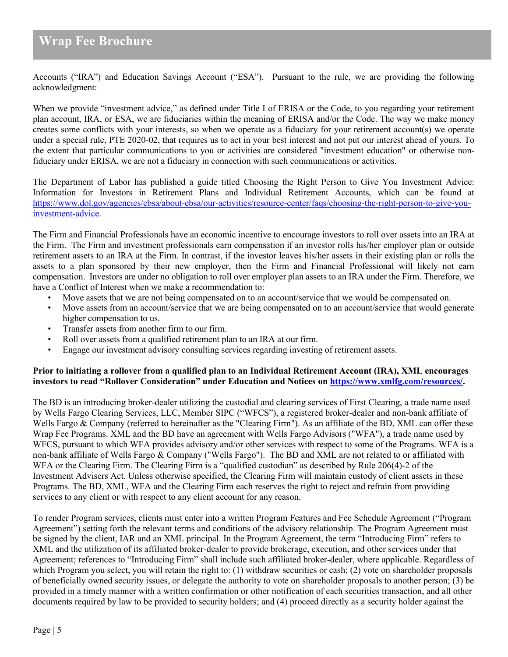Accounts ("IRA") and Education Savings Account ("ESA"). Pursuant to the rule, we are providing the following acknowledgment:

When we provide "investment advice," as defined under Title I of ERISA or the Code, to you regarding your retirement plan account, IRA, or ESA, we are fiduciaries within the meaning of ERISA and/or the Code. The way we make money creates some conflicts with your interests, so when we operate as a fiduciary for your retirement account(s) we operate under a special rule, PTE 2020-02, that requires us to act in your best interest and not put our interest ahead of yours. To the extent that particular communications to you or activities are considered "investment education" or otherwise nonfiduciary under ERISA, we are not a fiduciary in connection with such communications or activities.

The Department of Labor has published a guide titled Choosing the Right Person to Give You Investment Advice: Information for Investors in Retirement Plans and Individual Retirement Accounts, which can be found at [https://www.dol.gov/agencies/ebsa/about-ebsa/our-activities/resource-center/faqs/choosing-the-right-person-to-give-you](https://www.dol.gov/agencies/ebsa/about-ebsa/our-activities/resource-center/faqs/choosing-the-right-person-to-give-you-investment-advice)[investment-advice.](https://www.dol.gov/agencies/ebsa/about-ebsa/our-activities/resource-center/faqs/choosing-the-right-person-to-give-you-investment-advice)

The Firm and Financial Professionals have an economic incentive to encourage investors to roll over assets into an IRA at the Firm. The Firm and investment professionals earn compensation if an investor rolls his/her employer plan or outside retirement assets to an IRA at the Firm. In contrast, if the investor leaves his/her assets in their existing plan or rolls the assets to a plan sponsored by their new employer, then the Firm and Financial Professional will likely not earn compensation. Investors are under no obligation to roll over employer plan assets to an IRA under the Firm. Therefore, we have a Conflict of Interest when we make a recommendation to:

- Move assets that we are not being compensated on to an account/service that we would be compensated on.
- Move assets from an account/service that we are being compensated on to an account/service that would generate higher compensation to us.
- Transfer assets from another firm to our firm.
- Roll over assets from a qualified retirement plan to an IRA at our firm.
- Engage our investment advisory consulting services regarding investing of retirement assets.

#### **Prior to initiating a rollover from a qualified plan to an Individual Retirement Account (IRA), XML encourages investors to read "Rollover Consideration" under Education and Notices o[n https://www.xmlfg.com/resources/.](https://www.xmlfg.com/resources/)**

The BD is an introducing broker-dealer utilizing the custodial and clearing services of First Clearing, a trade name used by Wells Fargo Clearing Services, LLC, Member SIPC ("WFCS"), a registered broker-dealer and non-bank affiliate of Wells Fargo & Company (referred to hereinafter as the "Clearing Firm"). As an affiliate of the BD, XML can offer these Wrap Fee Programs. XML and the BD have an agreement with Wells Fargo Advisors ("WFA"), a trade name used by WFCS, pursuant to which WFA provides advisory and/or other services with respect to some of the Programs. WFA is a non-bank affiliate of Wells Fargo & Company ("Wells Fargo"). The BD and XML are not related to or affiliated with WFA or the Clearing Firm. The Clearing Firm is a "qualified custodian" as described by Rule 206(4)-2 of the Investment Advisers Act. Unless otherwise specified, the Clearing Firm will maintain custody of client assets in these Programs. The BD, XML, WFA and the Clearing Firm each reserves the right to reject and refrain from providing services to any client or with respect to any client account for any reason.

To render Program services, clients must enter into a written Program Features and Fee Schedule Agreement ("Program Agreement") setting forth the relevant terms and conditions of the advisory relationship. The Program Agreement must be signed by the client, IAR and an XML principal. In the Program Agreement, the term "Introducing Firm" refers to XML and the utilization of its affiliated broker-dealer to provide brokerage, execution, and other services under that Agreement; references to "Introducing Firm" shall include such affiliated broker-dealer, where applicable. Regardless of which Program you select, you will retain the right to: (1) withdraw securities or cash; (2) vote on shareholder proposals of beneficially owned security issues, or delegate the authority to vote on shareholder proposals to another person; (3) be provided in a timely manner with a written confirmation or other notification of each securities transaction, and all other documents required by law to be provided to security holders; and (4) proceed directly as a security holder against the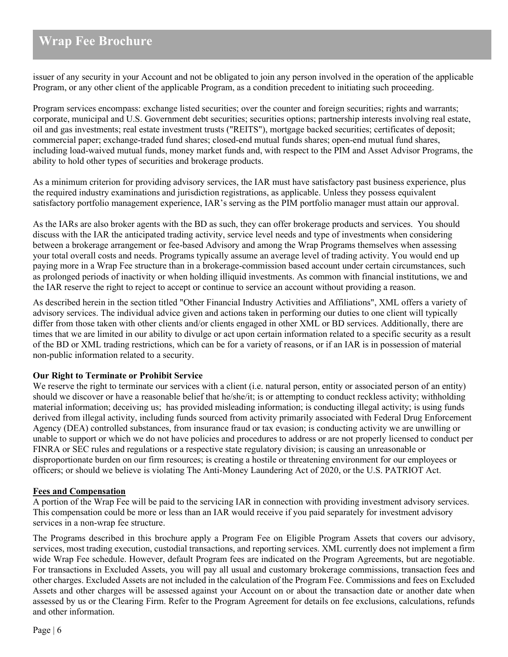issuer of any security in your Account and not be obligated to join any person involved in the operation of the applicable Program, or any other client of the applicable Program, as a condition precedent to initiating such proceeding.

Program services encompass: exchange listed securities; over the counter and foreign securities; rights and warrants; corporate, municipal and U.S. Government debt securities; securities options; partnership interests involving real estate, oil and gas investments; real estate investment trusts ("REITS"), mortgage backed securities; certificates of deposit; commercial paper; exchange-traded fund shares; closed-end mutual funds shares; open-end mutual fund shares, including load-waived mutual funds, money market funds and, with respect to the PIM and Asset Advisor Programs, the ability to hold other types of securities and brokerage products.

As a minimum criterion for providing advisory services, the IAR must have satisfactory past business experience, plus the required industry examinations and jurisdiction registrations, as applicable. Unless they possess equivalent satisfactory portfolio management experience, IAR's serving as the PIM portfolio manager must attain our approval.

As the IARs are also broker agents with the BD as such, they can offer brokerage products and services. You should discuss with the IAR the anticipated trading activity, service level needs and type of investments when considering between a brokerage arrangement or fee-based Advisory and among the Wrap Programs themselves when assessing your total overall costs and needs. Programs typically assume an average level of trading activity. You would end up paying more in a Wrap Fee structure than in a brokerage-commission based account under certain circumstances, such as prolonged periods of inactivity or when holding illiquid investments. As common with financial institutions, we and the IAR reserve the right to reject to accept or continue to service an account without providing a reason.

As described herein in the section titled "Other Financial Industry Activities and Affiliations", XML offers a variety of advisory services. The individual advice given and actions taken in performing our duties to one client will typically differ from those taken with other clients and/or clients engaged in other XML or BD services. Additionally, there are times that we are limited in our ability to divulge or act upon certain information related to a specific security as a result of the BD or XML trading restrictions, which can be for a variety of reasons, or if an IAR is in possession of material non-public information related to a security.

#### **Our Right to Terminate or Prohibit Service**

We reserve the right to terminate our services with a client (i.e. natural person, entity or associated person of an entity) should we discover or have a reasonable belief that he/she/it; is or attempting to conduct reckless activity; withholding material information; deceiving us; has provided misleading information; is conducting illegal activity; is using funds derived from illegal activity, including funds sourced from activity primarily associated with Federal Drug Enforcement Agency (DEA) controlled substances, from insurance fraud or tax evasion; is conducting activity we are unwilling or unable to support or which we do not have policies and procedures to address or are not properly licensed to conduct per FINRA or SEC rules and regulations or a respective state regulatory division; is causing an unreasonable or disproportionate burden on our firm resources; is creating a hostile or threatening environment for our employees or officers; or should we believe is violating The Anti-Money Laundering Act of 2020, or the U.S. PATRIOT Act.

#### **Fees and Compensation**

A portion of the Wrap Fee will be paid to the servicing IAR in connection with providing investment advisory services. This compensation could be more or less than an IAR would receive if you paid separately for investment advisory services in a non-wrap fee structure.

The Programs described in this brochure apply a Program Fee on Eligible Program Assets that covers our advisory, services, most trading execution, custodial transactions, and reporting services. XML currently does not implement a firm wide Wrap Fee schedule. However, default Program fees are indicated on the Program Agreements, but are negotiable. For transactions in Excluded Assets, you will pay all usual and customary brokerage commissions, transaction fees and other charges. Excluded Assets are not included in the calculation of the Program Fee. Commissions and fees on Excluded Assets and other charges will be assessed against your Account on or about the transaction date or another date when assessed by us or the Clearing Firm. Refer to the Program Agreement for details on fee exclusions, calculations, refunds and other information.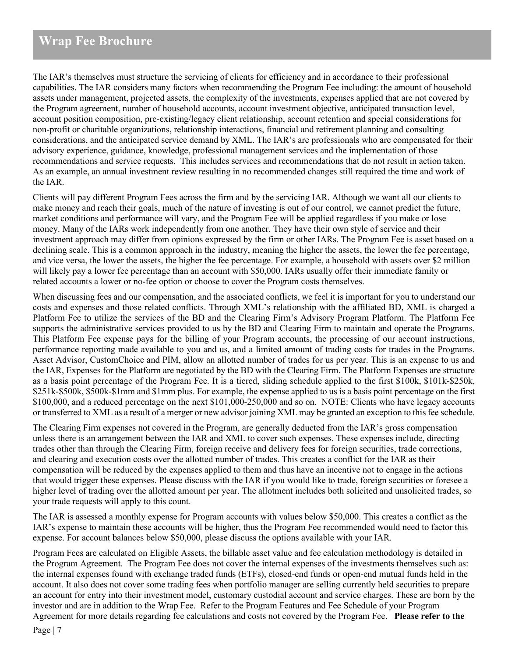The IAR's themselves must structure the servicing of clients for efficiency and in accordance to their professional capabilities. The IAR considers many factors when recommending the Program Fee including: the amount of household assets under management, projected assets, the complexity of the investments, expenses applied that are not covered by the Program agreement, number of household accounts, account investment objective, anticipated transaction level, account position composition, pre-existing/legacy client relationship, account retention and special considerations for non-profit or charitable organizations, relationship interactions, financial and retirement planning and consulting considerations, and the anticipated service demand by XML. The IAR's are professionals who are compensated for their advisory experience, guidance, knowledge, professional management services and the implementation of those recommendations and service requests. This includes services and recommendations that do not result in action taken. As an example, an annual investment review resulting in no recommended changes still required the time and work of the IAR.

Clients will pay different Program Fees across the firm and by the servicing IAR. Although we want all our clients to make money and reach their goals, much of the nature of investing is out of our control, we cannot predict the future, market conditions and performance will vary, and the Program Fee will be applied regardless if you make or lose money. Many of the IARs work independently from one another. They have their own style of service and their investment approach may differ from opinions expressed by the firm or other IARs. The Program Fee is asset based on a declining scale. This is a common approach in the industry, meaning the higher the assets, the lower the fee percentage, and vice versa, the lower the assets, the higher the fee percentage. For example, a household with assets over \$2 million will likely pay a lower fee percentage than an account with \$50,000. IARs usually offer their immediate family or related accounts a lower or no-fee option or choose to cover the Program costs themselves.

When discussing fees and our compensation, and the associated conflicts, we feel it is important for you to understand our costs and expenses and those related conflicts. Through XML's relationship with the affiliated BD, XML is charged a Platform Fee to utilize the services of the BD and the Clearing Firm's Advisory Program Platform. The Platform Fee supports the administrative services provided to us by the BD and Clearing Firm to maintain and operate the Programs. This Platform Fee expense pays for the billing of your Program accounts, the processing of our account instructions, performance reporting made available to you and us, and a limited amount of trading costs for trades in the Programs. Asset Advisor, CustomChoice and PIM, allow an allotted number of trades for us per year. This is an expense to us and the IAR, Expenses for the Platform are negotiated by the BD with the Clearing Firm. The Platform Expenses are structure as a basis point percentage of the Program Fee. It is a tiered, sliding schedule applied to the first \$100k, \$101k-\$250k, \$251k-\$500k, \$500k-\$1mm and \$1mm plus. For example, the expense applied to us is a basis point percentage on the first \$100,000, and a reduced percentage on the next \$101,000-250,000 and so on. NOTE: Clients who have legacy accounts or transferred to XML as a result of a merger or new advisor joining XML may be granted an exception to thisfee schedule.

The Clearing Firm expenses not covered in the Program, are generally deducted from the IAR's gross compensation unless there is an arrangement between the IAR and XML to cover such expenses. These expenses include, directing trades other than through the Clearing Firm, foreign receive and delivery fees for foreign securities, trade corrections, and clearing and execution costs over the allotted number of trades. This creates a conflict for the IAR as their compensation will be reduced by the expenses applied to them and thus have an incentive not to engage in the actions that would trigger these expenses. Please discuss with the IAR if you would like to trade, foreign securities or foresee a higher level of trading over the allotted amount per year. The allotment includes both solicited and unsolicited trades, so your trade requests will apply to this count.

The IAR is assessed a monthly expense for Program accounts with values below \$50,000. This creates a conflict as the IAR's expense to maintain these accounts will be higher, thus the Program Fee recommended would need to factor this expense. For account balances below \$50,000, please discuss the options available with your IAR.

Program Fees are calculated on Eligible Assets, the billable asset value and fee calculation methodology is detailed in the Program Agreement. The Program Fee does not cover the internal expenses of the investments themselves such as: the internal expenses found with exchange traded funds (ETFs), closed-end funds or open-end mutual funds held in the account. It also does not cover some trading fees when portfolio manager are selling currently held securities to prepare an account for entry into their investment model, customary custodial account and service charges. These are born by the investor and are in addition to the Wrap Fee. Refer to the Program Features and Fee Schedule of your Program Agreement for more details regarding fee calculations and costs not covered by the Program Fee. **Please refer to the**

Page | 7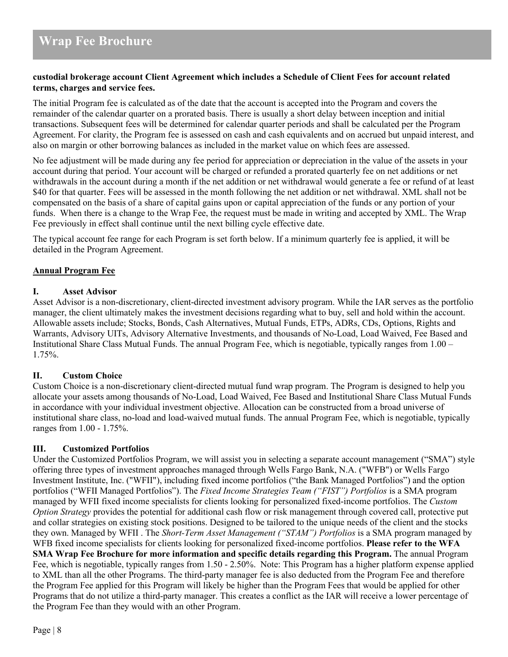### **custodial brokerage account Client Agreement which includes a Schedule of Client Fees for account related terms, charges and service fees.**

The initial Program fee is calculated as of the date that the account is accepted into the Program and covers the remainder of the calendar quarter on a prorated basis. There is usually a short delay between inception and initial transactions. Subsequent fees will be determined for calendar quarter periods and shall be calculated per the Program Agreement. For clarity, the Program fee is assessed on cash and cash equivalents and on accrued but unpaid interest, and also on margin or other borrowing balances as included in the market value on which fees are assessed.

No fee adjustment will be made during any fee period for appreciation or depreciation in the value of the assets in your account during that period. Your account will be charged or refunded a prorated quarterly fee on net additions or net withdrawals in the account during a month if the net addition or net withdrawal would generate a fee or refund of at least \$40 for that quarter. Fees will be assessed in the month following the net addition or net withdrawal. XML shall not be compensated on the basis of a share of capital gains upon or capital appreciation of the funds or any portion of your funds. When there is a change to the Wrap Fee, the request must be made in writing and accepted by XML. The Wrap Fee previously in effect shall continue until the next billing cycle effective date.

The typical account fee range for each Program is set forth below. If a minimum quarterly fee is applied, it will be detailed in the Program Agreement.

### **Annual Program Fee**

#### **I. Asset Advisor**

Asset Advisor is a non-discretionary, client-directed investment advisory program. While the IAR serves as the portfolio manager, the client ultimately makes the investment decisions regarding what to buy, sell and hold within the account. Allowable assets include; Stocks, Bonds, Cash Alternatives, Mutual Funds, ETPs, ADRs, CDs, Options, Rights and Warrants, Advisory UITs, Advisory Alternative Investments, and thousands of No-Load, Load Waived, Fee Based and Institutional Share Class Mutual Funds. The annual Program Fee, which is negotiable, typically ranges from 1.00 – 1.75%.

#### **II. Custom Choice**

Custom Choice is a non-discretionary client-directed mutual fund wrap program. The Program is designed to help you allocate your assets among thousands of No-Load, Load Waived, Fee Based and Institutional Share Class Mutual Funds in accordance with your individual investment objective. Allocation can be constructed from a broad universe of institutional share class, no-load and load-waived mutual funds. The annual Program Fee, which is negotiable, typically ranges from 1.00 - 1.75%.

# **III. Customized Portfolios**

Under the Customized Portfolios Program, we will assist you in selecting a separate account management ("SMA") style offering three types of investment approaches managed through Wells Fargo Bank, N.A. ("WFB") or Wells Fargo Investment Institute, Inc. ("WFII"), including fixed income portfolios ("the Bank Managed Portfolios") and the option portfolios ("WFII Managed Portfolios"). The *Fixed Income Strategies Team ("FIST") Portfolios* is a SMA program managed by WFII fixed income specialists for clients looking for personalized fixed-income portfolios. The *Custom Option Strategy* provides the potential for additional cash flow or risk management through covered call, protective put and collar strategies on existing stock positions. Designed to be tailored to the unique needs of the client and the stocks they own. Managed by WFII . The *Short-Term Asset Management ("STAM") Portfolios* is a SMA program managed by WFB fixed income specialists for clients looking for personalized fixed-income portfolios. **Please refer to the WFA SMA Wrap Fee Brochure for more information and specific details regarding this Program.** The annual Program Fee, which is negotiable, typically ranges from 1.50 - 2.50%. Note: This Program has a higher platform expense applied to XML than all the other Programs. The third-party manager fee is also deducted from the Program Fee and therefore the Program Fee applied for this Program will likely be higher than the Program Fees that would be applied for other Programs that do not utilize a third-party manager. This creates a conflict as the IAR will receive a lower percentage of the Program Fee than they would with an other Program.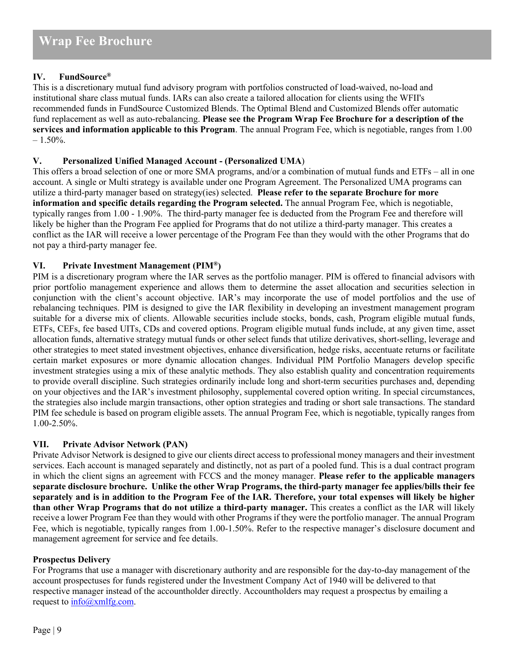# **IV. FundSource®**

This is a discretionary mutual fund advisory program with portfolios constructed of load-waived, no-load and institutional share class mutual funds. IARs can also create a tailored allocation for clients using the WFII's recommended funds in FundSource Customized Blends. The Optimal Blend and Customized Blends offer automatic fund replacement as well as auto-rebalancing. **Please see the Program Wrap Fee Brochure for a description of the services and information applicable to this Program**. The annual Program Fee, which is negotiable, ranges from 1.00  $-1.50\%$ .

# **V. Personalized Unified Managed Account - (Personalized UMA**)

This offers a broad selection of one or more SMA programs, and/or a combination of mutual funds and ETFs – all in one account. A single or Multi strategy is available under one Program Agreement. The Personalized UMA programs can utilize a third-party manager based on strategy(ies) selected. **Please refer to the separate Brochure for more information and specific details regarding the Program selected.** The annual Program Fee, which is negotiable, typically ranges from 1.00 - 1.90%. The third-party manager fee is deducted from the Program Fee and therefore will likely be higher than the Program Fee applied for Programs that do not utilize a third-party manager. This creates a conflict as the IAR will receive a lower percentage of the Program Fee than they would with the other Programs that do not pay a third-party manager fee.

# **VI. Private Investment Management (PIM®)**

PIM is a discretionary program where the IAR serves as the portfolio manager. PIM is offered to financial advisors with prior portfolio management experience and allows them to determine the asset allocation and securities selection in conjunction with the client's account objective. IAR's may incorporate the use of model portfolios and the use of rebalancing techniques. PIM is designed to give the IAR flexibility in developing an investment management program suitable for a diverse mix of clients. Allowable securities include stocks, bonds, cash, Program eligible mutual funds, ETFs, CEFs, fee based UITs, CDs and covered options. Program eligible mutual funds include, at any given time, asset allocation funds, alternative strategy mutual funds or other select funds that utilize derivatives, short-selling, leverage and other strategies to meet stated investment objectives, enhance diversification, hedge risks, accentuate returns or facilitate certain market exposures or more dynamic allocation changes. Individual PIM Portfolio Managers develop specific investment strategies using a mix of these analytic methods. They also establish quality and concentration requirements to provide overall discipline. Such strategies ordinarily include long and short-term securities purchases and, depending on your objectives and the IAR's investment philosophy, supplemental covered option writing. In special circumstances, the strategies also include margin transactions, other option strategies and trading or short sale transactions. The standard PIM fee schedule is based on program eligible assets. The annual Program Fee, which is negotiable, typically ranges from 1.00-2.50%.

# **VII. Private Advisor Network (PAN)**

Private Advisor Network is designed to give our clients direct access to professional money managers and their investment services. Each account is managed separately and distinctly, not as part of a pooled fund. This is a dual contract program in which the client signs an agreement with FCCS and the money manager. **Please refer to the applicable managers separate disclosure brochure. Unlike the other Wrap Programs, the third-party manager fee applies/bills their fee separately and is in addition to the Program Fee of the IAR. Therefore, your total expenses will likely be higher than other Wrap Programs that do not utilize a third-party manager.** This creates a conflict as the IAR will likely receive a lower Program Fee than they would with other Programs if they were the portfolio manager. The annual Program Fee, which is negotiable, typically ranges from 1.00-1.50%. Refer to the respective manager's disclosure document and management agreement for service and fee details.

# **Prospectus Delivery**

For Programs that use a manager with discretionary authority and are responsible for the day-to-day management of the account prospectuses for funds registered under the Investment Company Act of 1940 will be delivered to that respective manager instead of the accountholder directly. Accountholders may request a prospectus by emailing a request to  $info(\hat{\omega})$ xmlfg.com.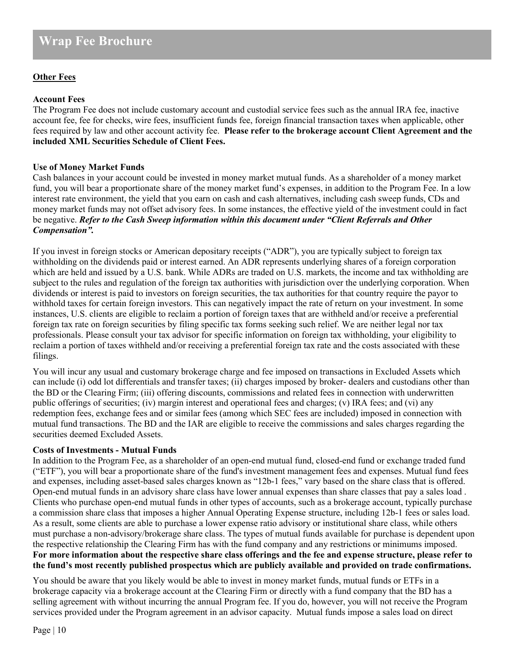## **Other Fees**

#### **Account Fees**

The Program Fee does not include customary account and custodial service fees such as the annual IRA fee, inactive account fee, fee for checks, wire fees, insufficient funds fee, foreign financial transaction taxes when applicable, other fees required by law and other account activity fee. **Please refer to the brokerage account Client Agreement and the included XML Securities Schedule of Client Fees.**

#### **Use of Money Market Funds**

Cash balances in your account could be invested in money market mutual funds. As a shareholder of a money market fund, you will bear a proportionate share of the money market fund's expenses, in addition to the Program Fee. In a low interest rate environment, the yield that you earn on cash and cash alternatives, including cash sweep funds, CDs and money market funds may not offset advisory fees. In some instances, the effective yield of the investment could in fact be negative. *Refer to the Cash Sweep information within this document under "Client Referrals and Other Compensation".*

If you invest in foreign stocks or American depositary receipts ("ADR"), you are typically subject to foreign tax withholding on the dividends paid or interest earned. An ADR represents underlying shares of a foreign corporation which are held and issued by a U.S. bank. While ADRs are traded on U.S. markets, the income and tax withholding are subject to the rules and regulation of the foreign tax authorities with jurisdiction over the underlying corporation. When dividends or interest is paid to investors on foreign securities, the tax authorities for that country require the payor to withhold taxes for certain foreign investors. This can negatively impact the rate of return on your investment. In some instances, U.S. clients are eligible to reclaim a portion of foreign taxes that are withheld and/or receive a preferential foreign tax rate on foreign securities by filing specific tax forms seeking such relief. We are neither legal nor tax professionals. Please consult your tax advisor for specific information on foreign tax withholding, your eligibility to reclaim a portion of taxes withheld and/or receiving a preferential foreign tax rate and the costs associated with these filings.

You will incur any usual and customary brokerage charge and fee imposed on transactions in Excluded Assets which can include (i) odd lot differentials and transfer taxes; (ii) charges imposed by broker- dealers and custodians other than the BD or the Clearing Firm; (iii) offering discounts, commissions and related fees in connection with underwritten public offerings of securities; (iv) margin interest and operational fees and charges; (v) IRA fees; and (vi) any redemption fees, exchange fees and or similar fees (among which SEC fees are included) imposed in connection with mutual fund transactions. The BD and the IAR are eligible to receive the commissions and sales charges regarding the securities deemed Excluded Assets.

#### **Costs of Investments - Mutual Funds**

In addition to the Program Fee, as a shareholder of an open-end mutual fund, closed-end fund or exchange traded fund ("ETF"), you will bear a proportionate share of the fund's investment management fees and expenses. Mutual fund fees and expenses, including asset-based sales charges known as "12b-1 fees," vary based on the share class that is offered. Open-end mutual funds in an advisory share class have lower annual expenses than share classes that pay a sales load . Clients who purchase open-end mutual funds in other types of accounts, such as a brokerage account, typically purchase a commission share class that imposes a higher Annual Operating Expense structure, including 12b-1 fees or sales load. As a result, some clients are able to purchase a lower expense ratio advisory or institutional share class, while others must purchase a non-advisory/brokerage share class. The types of mutual funds available for purchase is dependent upon the respective relationship the Clearing Firm has with the fund company and any restrictions or minimums imposed. **For more information about the respective share class offerings and the fee and expense structure, please refer to the fund's most recently published prospectus which are publicly available and provided on trade confirmations.**

You should be aware that you likely would be able to invest in money market funds, mutual funds or ETFs in a brokerage capacity via a brokerage account at the Clearing Firm or directly with a fund company that the BD has a selling agreement with without incurring the annual Program fee. If you do, however, you will not receive the Program services provided under the Program agreement in an advisor capacity. Mutual funds impose a sales load on direct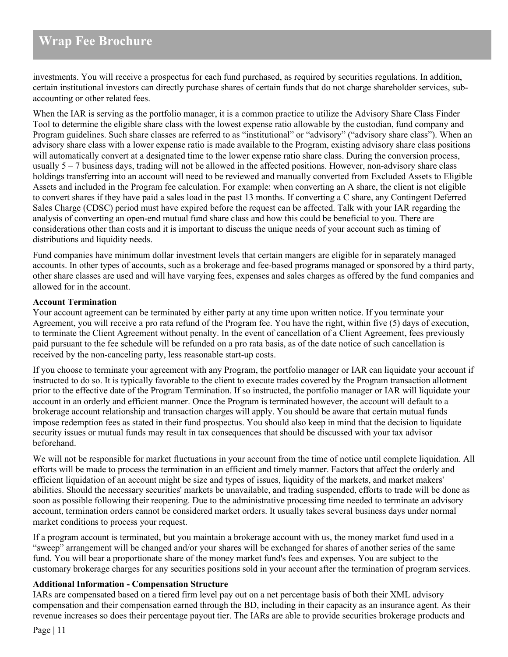investments. You will receive a prospectus for each fund purchased, as required by securities regulations. In addition, certain institutional investors can directly purchase shares of certain funds that do not charge shareholder services, subaccounting or other related fees.

When the IAR is serving as the portfolio manager, it is a common practice to utilize the Advisory Share Class Finder Tool to determine the eligible share class with the lowest expense ratio allowable by the custodian, fund company and Program guidelines. Such share classes are referred to as "institutional" or "advisory" ("advisory share class"). When an advisory share class with a lower expense ratio is made available to the Program, existing advisory share class positions will automatically convert at a designated time to the lower expense ratio share class. During the conversion process, usually 5 – 7 business days, trading will not be allowed in the affected positions. However, non-advisory share class holdings transferring into an account will need to be reviewed and manually converted from Excluded Assets to Eligible Assets and included in the Program fee calculation. For example: when converting an A share, the client is not eligible to convert shares if they have paid a sales load in the past 13 months. If converting a C share, any Contingent Deferred Sales Charge (CDSC) period must have expired before the request can be affected. Talk with your IAR regarding the analysis of converting an open-end mutual fund share class and how this could be beneficial to you. There are considerations other than costs and it is important to discuss the unique needs of your account such as timing of distributions and liquidity needs.

Fund companies have minimum dollar investment levels that certain mangers are eligible for in separately managed accounts. In other types of accounts, such as a brokerage and fee-based programs managed or sponsored by a third party, other share classes are used and will have varying fees, expenses and sales charges as offered by the fund companies and allowed for in the account.

### **Account Termination**

Your account agreement can be terminated by either party at any time upon written notice. If you terminate your Agreement, you will receive a pro rata refund of the Program fee. You have the right, within five (5) days of execution, to terminate the Client Agreement without penalty. In the event of cancellation of a Client Agreement, fees previously paid pursuant to the fee schedule will be refunded on a pro rata basis, as of the date notice of such cancellation is received by the non-canceling party, less reasonable start-up costs.

If you choose to terminate your agreement with any Program, the portfolio manager or IAR can liquidate your account if instructed to do so. It is typically favorable to the client to execute trades covered by the Program transaction allotment prior to the effective date of the Program Termination. If so instructed, the portfolio manager or IAR will liquidate your account in an orderly and efficient manner. Once the Program is terminated however, the account will default to a brokerage account relationship and transaction charges will apply. You should be aware that certain mutual funds impose redemption fees as stated in their fund prospectus. You should also keep in mind that the decision to liquidate security issues or mutual funds may result in tax consequences that should be discussed with your tax advisor beforehand.

We will not be responsible for market fluctuations in your account from the time of notice until complete liquidation. All efforts will be made to process the termination in an efficient and timely manner. Factors that affect the orderly and efficient liquidation of an account might be size and types of issues, liquidity of the markets, and market makers' abilities. Should the necessary securities' markets be unavailable, and trading suspended, efforts to trade will be done as soon as possible following their reopening. Due to the administrative processing time needed to terminate an advisory account, termination orders cannot be considered market orders. It usually takes several business days under normal market conditions to process your request.

If a program account is terminated, but you maintain a brokerage account with us, the money market fund used in a "sweep" arrangement will be changed and/or your shares will be exchanged for shares of another series of the same fund. You will bear a proportionate share of the money market fund's fees and expenses. You are subject to the customary brokerage charges for any securities positions sold in your account after the termination of program services.

#### **Additional Information - Compensation Structure**

IARs are compensated based on a tiered firm level pay out on a net percentage basis of both their XML advisory compensation and their compensation earned through the BD, including in their capacity as an insurance agent. As their revenue increases so does their percentage payout tier. The IARs are able to provide securities brokerage products and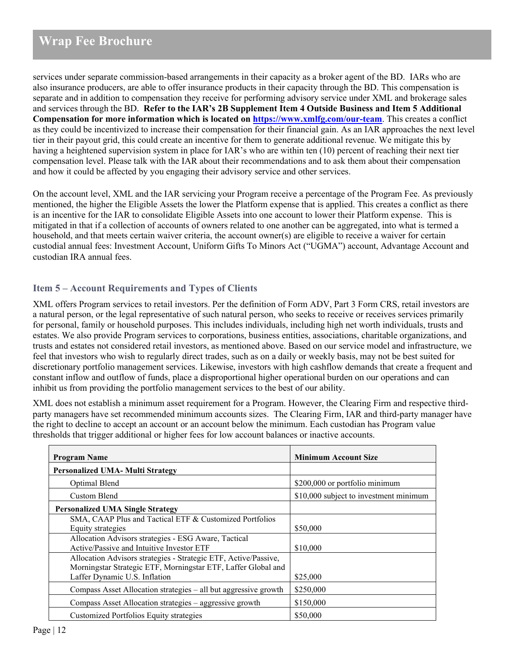services under separate commission-based arrangements in their capacity as a broker agent of the BD. IARs who are also insurance producers, are able to offer insurance products in their capacity through the BD. This compensation is separate and in addition to compensation they receive for performing advisory service under XML and brokerage sales and services through the BD. **Refer to the IAR's 2B Supplement Item 4 Outside Business and Item 5 Additional Compensation for more information which is located on<https://www.xmlfg.com/our-team>**. This creates a conflict as they could be incentivized to increase their compensation for their financial gain. As an IAR approaches the next level tier in their payout grid, this could create an incentive for them to generate additional revenue. We mitigate this by having a heightened supervision system in place for IAR's who are within ten (10) percent of reaching their next tier compensation level. Please talk with the IAR about their recommendations and to ask them about their compensation and how it could be affected by you engaging their advisory service and other services.

On the account level, XML and the IAR servicing your Program receive a percentage of the Program Fee. As previously mentioned, the higher the Eligible Assets the lower the Platform expense that is applied. This creates a conflict as there is an incentive for the IAR to consolidate Eligible Assets into one account to lower their Platform expense. This is mitigated in that if a collection of accounts of owners related to one another can be aggregated, into what is termed a household, and that meets certain waiver criteria, the account owner(s) are eligible to receive a waiver for certain custodial annual fees: Investment Account, Uniform Gifts To Minors Act ("UGMA") account, Advantage Account and custodian IRA annual fees.

# <span id="page-11-0"></span>**Item 5 – Account Requirements and Types of Clients**

XML offers Program services to retail investors. Per the definition of Form ADV, Part 3 Form CRS, retail investors are a natural person, or the legal representative of such natural person, who seeks to receive or receives services primarily for personal, family or household purposes. This includes individuals, including high net worth individuals, trusts and estates. We also provide Program services to corporations, business entities, associations, charitable organizations, and trusts and estates not considered retail investors, as mentioned above. Based on our service model and infrastructure, we feel that investors who wish to regularly direct trades, such as on a daily or weekly basis, may not be best suited for discretionary portfolio management services. Likewise, investors with high cashflow demands that create a frequent and constant inflow and outflow of funds, place a disproportional higher operational burden on our operations and can inhibit us from providing the portfolio management services to the best of our ability.

XML does not establish a minimum asset requirement for a Program. However, the Clearing Firm and respective thirdparty managers have set recommended minimum accounts sizes. The Clearing Firm, IAR and third-party manager have the right to decline to accept an account or an account below the minimum. Each custodian has Program value thresholds that trigger additional or higher fees for low account balances or inactive accounts.

| <b>Program Name</b>                                             | <b>Minimum Account Size</b>            |
|-----------------------------------------------------------------|----------------------------------------|
| <b>Personalized UMA- Multi Strategy</b>                         |                                        |
| Optimal Blend                                                   | \$200,000 or portfolio minimum         |
| Custom Blend                                                    | \$10,000 subject to investment minimum |
| <b>Personalized UMA Single Strategy</b>                         |                                        |
| SMA, CAAP Plus and Tactical ETF & Customized Portfolios         |                                        |
| Equity strategies                                               | \$50,000                               |
| Allocation Advisors strategies - ESG Aware, Tactical            |                                        |
| Active/Passive and Intuitive Investor ETF                       | \$10,000                               |
| Allocation Advisors strategies - Strategic ETF, Active/Passive, |                                        |
| Morningstar Strategic ETF, Morningstar ETF, Laffer Global and   |                                        |
| Laffer Dynamic U.S. Inflation                                   | \$25,000                               |
| Compass Asset Allocation strategies – all but aggressive growth | \$250,000                              |
| Compass Asset Allocation strategies - aggressive growth         | \$150,000                              |
| <b>Customized Portfolios Equity strategies</b>                  | \$50,000                               |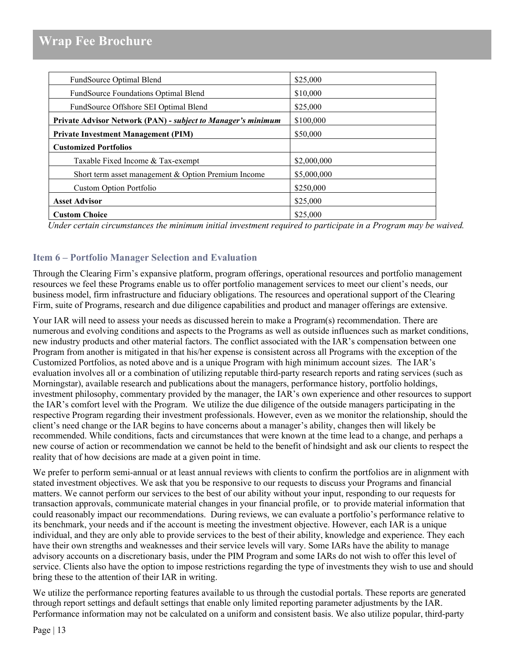| FundSource Optimal Blend                                     | \$25,000    |
|--------------------------------------------------------------|-------------|
| FundSource Foundations Optimal Blend                         | \$10,000    |
| FundSource Offshore SEI Optimal Blend                        | \$25,000    |
| Private Advisor Network (PAN) - subject to Manager's minimum | \$100,000   |
| <b>Private Investment Management (PIM)</b>                   | \$50,000    |
| <b>Customized Portfolios</b>                                 |             |
| Taxable Fixed Income & Tax-exempt                            | \$2,000,000 |
| Short term asset management & Option Premium Income          | \$5,000,000 |
| <b>Custom Option Portfolio</b>                               | \$250,000   |
| <b>Asset Advisor</b>                                         | \$25,000    |
| <b>Custom Choice</b>                                         | \$25,000    |

*Under certain circumstances the minimum initial investment required to participate in a Program may be waived.*

# <span id="page-12-0"></span>**Item 6 – Portfolio Manager Selection and Evaluation**

Through the Clearing Firm's expansive platform, program offerings, operational resources and portfolio management resources we feel these Programs enable us to offer portfolio management services to meet our client's needs, our business model, firm infrastructure and fiduciary obligations. The resources and operational support of the Clearing Firm, suite of Programs, research and due diligence capabilities and product and manager offerings are extensive.

Your IAR will need to assess your needs as discussed herein to make a Program(s) recommendation. There are numerous and evolving conditions and aspects to the Programs as well as outside influences such as market conditions, new industry products and other material factors. The conflict associated with the IAR's compensation between one Program from another is mitigated in that his/her expense is consistent across all Programs with the exception of the Customized Portfolios, as noted above and is a unique Program with high minimum account sizes. The IAR's evaluation involves all or a combination of utilizing reputable third-party research reports and rating services (such as Morningstar), available research and publications about the managers, performance history, portfolio holdings, investment philosophy, commentary provided by the manager, the IAR's own experience and other resources to support the IAR's comfort level with the Program. We utilize the due diligence of the outside managers participating in the respective Program regarding their investment professionals. However, even as we monitor the relationship, should the client's need change or the IAR begins to have concerns about a manager's ability, changes then will likely be recommended. While conditions, facts and circumstances that were known at the time lead to a change, and perhaps a new course of action or recommendation we cannot be held to the benefit of hindsight and ask our clients to respect the reality that of how decisions are made at a given point in time.

We prefer to perform semi-annual or at least annual reviews with clients to confirm the portfolios are in alignment with stated investment objectives. We ask that you be responsive to our requests to discuss your Programs and financial matters. We cannot perform our services to the best of our ability without your input, responding to our requests for transaction approvals, communicate material changes in your financial profile, or to provide material information that could reasonably impact our recommendations. During reviews, we can evaluate a portfolio's performance relative to its benchmark, your needs and if the account is meeting the investment objective. However, each IAR is a unique individual, and they are only able to provide services to the best of their ability, knowledge and experience. They each have their own strengths and weaknesses and their service levels will vary. Some IARs have the ability to manage advisory accounts on a discretionary basis, under the PIM Program and some IARs do not wish to offer this level of service. Clients also have the option to impose restrictions regarding the type of investments they wish to use and should bring these to the attention of their IAR in writing.

We utilize the performance reporting features available to us through the custodial portals. These reports are generated through report settings and default settings that enable only limited reporting parameter adjustments by the IAR. Performance information may not be calculated on a uniform and consistent basis. We also utilize popular, third-party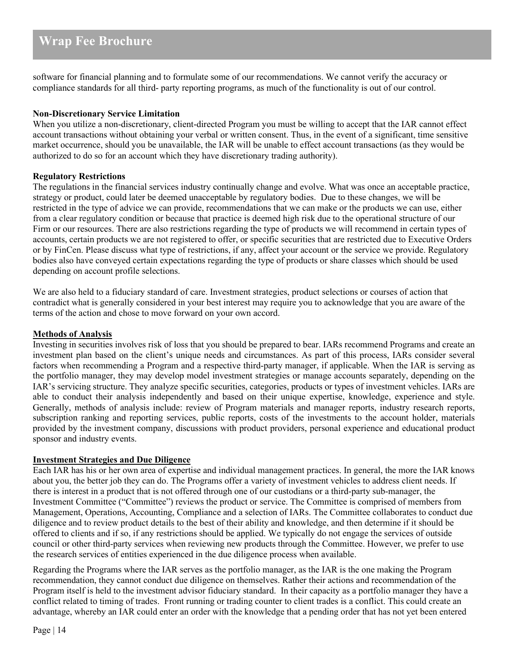software for financial planning and to formulate some of our recommendations. We cannot verify the accuracy or compliance standards for all third- party reporting programs, as much of the functionality is out of our control.

#### **Non-Discretionary Service Limitation**

When you utilize a non-discretionary, client-directed Program you must be willing to accept that the IAR cannot effect account transactions without obtaining your verbal or written consent. Thus, in the event of a significant, time sensitive market occurrence, should you be unavailable, the IAR will be unable to effect account transactions (as they would be authorized to do so for an account which they have discretionary trading authority).

#### **Regulatory Restrictions**

The regulations in the financial services industry continually change and evolve. What was once an acceptable practice, strategy or product, could later be deemed unacceptable by regulatory bodies. Due to these changes, we will be restricted in the type of advice we can provide, recommendations that we can make or the products we can use, either from a clear regulatory condition or because that practice is deemed high risk due to the operational structure of our Firm or our resources. There are also restrictions regarding the type of products we will recommend in certain types of accounts, certain products we are not registered to offer, or specific securities that are restricted due to Executive Orders or by FinCen. Please discuss what type of restrictions, if any, affect your account or the service we provide. Regulatory bodies also have conveyed certain expectations regarding the type of products or share classes which should be used depending on account profile selections.

We are also held to a fiduciary standard of care. Investment strategies, product selections or courses of action that contradict what is generally considered in your best interest may require you to acknowledge that you are aware of the terms of the action and chose to move forward on your own accord.

#### **Methods of Analysis**

Investing in securities involves risk of loss that you should be prepared to bear. IARs recommend Programs and create an investment plan based on the client's unique needs and circumstances. As part of this process, IARs consider several factors when recommending a Program and a respective third-party manager, if applicable. When the IAR is serving as the portfolio manager, they may develop model investment strategies or manage accounts separately, depending on the IAR's servicing structure. They analyze specific securities, categories, products or types of investment vehicles. IARs are able to conduct their analysis independently and based on their unique expertise, knowledge, experience and style. Generally, methods of analysis include: review of Program materials and manager reports, industry research reports, subscription ranking and reporting services, public reports, costs of the investments to the account holder, materials provided by the investment company, discussions with product providers, personal experience and educational product sponsor and industry events.

#### **Investment Strategies and Due Diligence**

Each IAR has his or her own area of expertise and individual management practices. In general, the more the IAR knows about you, the better job they can do. The Programs offer a variety of investment vehicles to address client needs. If there is interest in a product that is not offered through one of our custodians or a third-party sub-manager, the Investment Committee ("Committee") reviews the product or service. The Committee is comprised of members from Management, Operations, Accounting, Compliance and a selection of IARs. The Committee collaborates to conduct due diligence and to review product details to the best of their ability and knowledge, and then determine if it should be offered to clients and if so, if any restrictions should be applied. We typically do not engage the services of outside council or other third-party services when reviewing new products through the Committee. However, we prefer to use the research services of entities experienced in the due diligence process when available.

Regarding the Programs where the IAR serves as the portfolio manager, as the IAR is the one making the Program recommendation, they cannot conduct due diligence on themselves. Rather their actions and recommendation of the Program itself is held to the investment advisor fiduciary standard. In their capacity as a portfolio manager they have a conflict related to timing of trades. Front running or trading counter to client trades is a conflict. This could create an advantage, whereby an IAR could enter an order with the knowledge that a pending order that has not yet been entered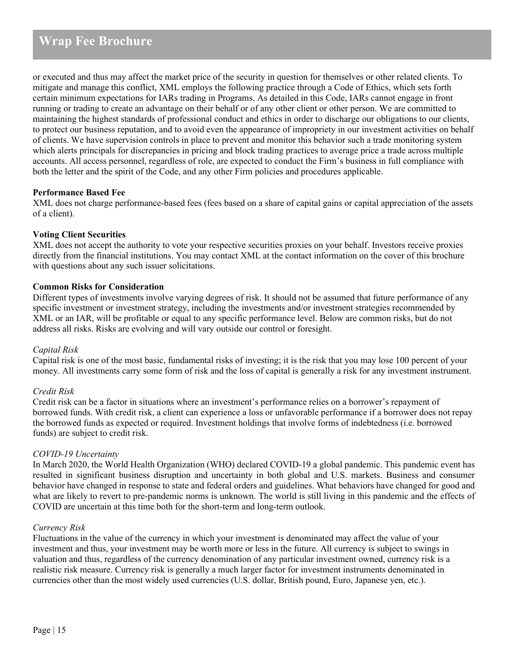or executed and thus may affect the market price of the security in question for themselves or other related clients. To mitigate and manage this conflict, XML employs the following practice through a Code of Ethics, which sets forth certain minimum expectations for IARs trading in Programs. As detailed in this Code, IARs cannot engage in front running or trading to create an advantage on their behalf or of any other client or other person. We are committed to maintaining the highest standards of professional conduct and ethics in order to discharge our obligations to our clients, to protect our business reputation, and to avoid even the appearance of impropriety in our investment activities on behalf of clients. We have supervision controls in place to prevent and monitor this behavior such a trade monitoring system which alerts principals for discrepancies in pricing and block trading practices to average price a trade across multiple accounts. All access personnel, regardless of role, are expected to conduct the Firm's business in full compliance with both the letter and the spirit of the Code, and any other Firm policies and procedures applicable.

#### **Performance Based Fee**

XML does not charge performance-based fees (fees based on a share of capital gains or capital appreciation of the assets of a client).

### **Voting Client Securities**

XML does not accept the authority to vote your respective securities proxies on your behalf. Investors receive proxies directly from the financial institutions. You may contact XML at the contact information on the cover of this brochure with questions about any such issuer solicitations.

### **Common Risks for Consideration**

Different types of investments involve varying degrees of risk. It should not be assumed that future performance of any specific investment or investment strategy, including the investments and/or investment strategies recommended by XML or an IAR, will be profitable or equal to any specific performance level. Below are common risks, but do not address all risks. Risks are evolving and will vary outside our control or foresight.

#### *Capital Risk*

Capital risk is one of the most basic, fundamental risks of investing; it is the risk that you may lose 100 percent of your money. All investments carry some form of risk and the loss of capital is generally a risk for any investment instrument.

#### *Credit Risk*

Credit risk can be a factor in situations where an investment's performance relies on a borrower's repayment of borrowed funds. With credit risk, a client can experience a loss or unfavorable performance if a borrower does not repay the borrowed funds as expected or required. Investment holdings that involve forms of indebtedness (i.e. borrowed funds) are subject to credit risk.

#### *COVID-19 Uncertainty*

In March 2020, the World Health Organization (WHO) declared COVID-19 a global pandemic. This pandemic event has resulted in significant business disruption and uncertainty in both global and U.S. markets. Business and consumer behavior have changed in response to state and federal orders and guidelines. What behaviors have changed for good and what are likely to revert to pre-pandemic norms is unknown. The world is still living in this pandemic and the effects of COVID are uncertain at this time both for the short-term and long-term outlook.

#### *Currency Risk*

Fluctuations in the value of the currency in which your investment is denominated may affect the value of your investment and thus, your investment may be worth more or less in the future. All currency is subject to swings in valuation and thus, regardless of the currency denomination of any particular investment owned, currency risk is a realistic risk measure. Currency risk is generally a much larger factor for investment instruments denominated in currencies other than the most widely used currencies (U.S. dollar, British pound, Euro, Japanese yen, etc.).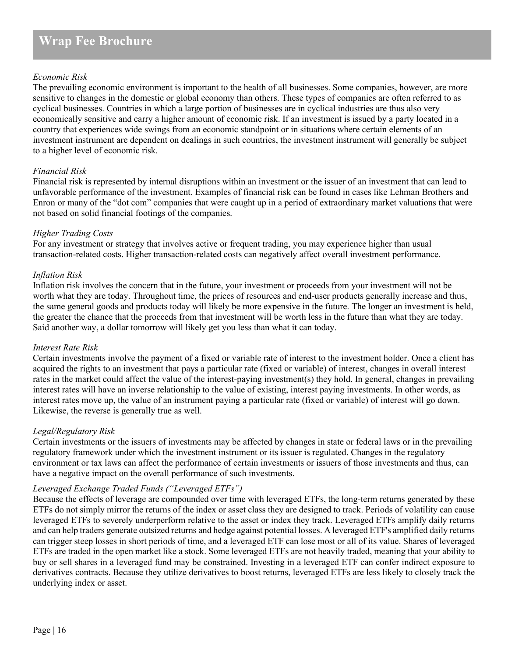### *Economic Risk*

The prevailing economic environment is important to the health of all businesses. Some companies, however, are more sensitive to changes in the domestic or global economy than others. These types of companies are often referred to as cyclical businesses. Countries in which a large portion of businesses are in cyclical industries are thus also very economically sensitive and carry a higher amount of economic risk. If an investment is issued by a party located in a country that experiences wide swings from an economic standpoint or in situations where certain elements of an investment instrument are dependent on dealings in such countries, the investment instrument will generally be subject to a higher level of economic risk.

#### *Financial Risk*

Financial risk is represented by internal disruptions within an investment or the issuer of an investment that can lead to unfavorable performance of the investment. Examples of financial risk can be found in cases like Lehman Brothers and Enron or many of the "dot com" companies that were caught up in a period of extraordinary market valuations that were not based on solid financial footings of the companies.

#### *Higher Trading Costs*

For any investment or strategy that involves active or frequent trading, you may experience higher than usual transaction-related costs. Higher transaction-related costs can negatively affect overall investment performance.

#### *Inflation Risk*

Inflation risk involves the concern that in the future, your investment or proceeds from your investment will not be worth what they are today. Throughout time, the prices of resources and end-user products generally increase and thus, the same general goods and products today will likely be more expensive in the future. The longer an investment is held, the greater the chance that the proceeds from that investment will be worth less in the future than what they are today. Said another way, a dollar tomorrow will likely get you less than what it can today.

#### *Interest Rate Risk*

Certain investments involve the payment of a fixed or variable rate of interest to the investment holder. Once a client has acquired the rights to an investment that pays a particular rate (fixed or variable) of interest, changes in overall interest rates in the market could affect the value of the interest-paying investment(s) they hold. In general, changes in prevailing interest rates will have an inverse relationship to the value of existing, interest paying investments. In other words, as interest rates move up, the value of an instrument paying a particular rate (fixed or variable) of interest will go down. Likewise, the reverse is generally true as well.

#### *Legal/Regulatory Risk*

Certain investments or the issuers of investments may be affected by changes in state or federal laws or in the prevailing regulatory framework under which the investment instrument or its issuer is regulated. Changes in the regulatory environment or tax laws can affect the performance of certain investments or issuers of those investments and thus, can have a negative impact on the overall performance of such investments.

#### *Leveraged Exchange Traded Funds ("Leveraged ETFs")*

Because the effects of leverage are compounded over time with leveraged ETFs, the long-term returns generated by these ETFs do not simply mirror the returns of the index or asset class they are designed to track. Periods of volatility can cause leveraged ETFs to severely underperform relative to the asset or index they track. Leveraged ETFs amplify daily returns and can help traders generate outsized returns and hedge against potential losses. A leveraged ETF's amplified daily returns can trigger steep losses in short periods of time, and a leveraged ETF can lose most or all of its value. Shares of leveraged ETFs are traded in the open market like a stock. Some leveraged ETFs are not heavily traded, meaning that your ability to buy or sell shares in a leveraged fund may be constrained. Investing in a leveraged ETF can confer indirect exposure to derivatives contracts. Because they utilize derivatives to boost returns, leveraged ETFs are less likely to closely track the underlying index or asset.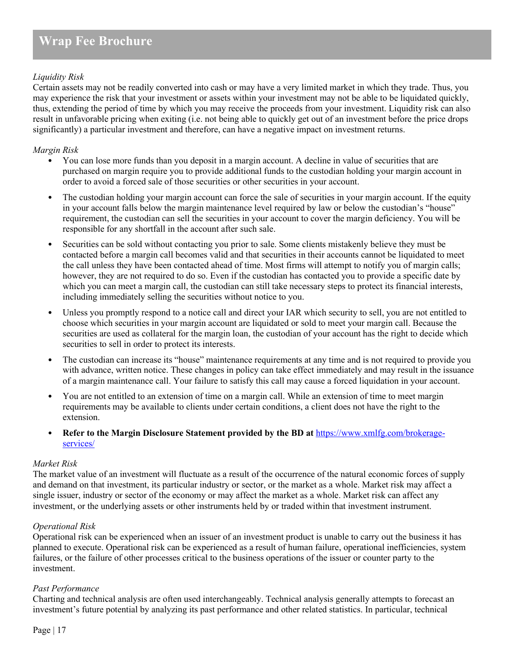# *Liquidity Risk*

Certain assets may not be readily converted into cash or may have a very limited market in which they trade. Thus, you may experience the risk that your investment or assets within your investment may not be able to be liquidated quickly, thus, extending the period of time by which you may receive the proceeds from your investment. Liquidity risk can also result in unfavorable pricing when exiting (i.e. not being able to quickly get out of an investment before the price drops significantly) a particular investment and therefore, can have a negative impact on investment returns.

## *Margin Risk*

- You can lose more funds than you deposit in a margin account. A decline in value of securities that are purchased on margin require you to provide additional funds to the custodian holding your margin account in order to avoid a forced sale of those securities or other securities in your account.
- The custodian holding your margin account can force the sale of securities in your margin account. If the equity in your account falls below the margin maintenance level required by law or below the custodian's "house" requirement, the custodian can sell the securities in your account to cover the margin deficiency. You will be responsible for any shortfall in the account after such sale.
- Securities can be sold without contacting you prior to sale. Some clients mistakenly believe they must be contacted before a margin call becomes valid and that securities in their accounts cannot be liquidated to meet the call unless they have been contacted ahead of time. Most firms will attempt to notify you of margin calls; however, they are not required to do so. Even if the custodian has contacted you to provide a specific date by which you can meet a margin call, the custodian can still take necessary steps to protect its financial interests, including immediately selling the securities without notice to you.
- Unless you promptly respond to a notice call and direct your IAR which security to sell, you are not entitled to choose which securities in your margin account are liquidated or sold to meet your margin call. Because the securities are used as collateral for the margin loan, the custodian of your account has the right to decide which securities to sell in order to protect its interests.
- The custodian can increase its "house" maintenance requirements at any time and is not required to provide you with advance, written notice. These changes in policy can take effect immediately and may result in the issuance of a margin maintenance call. Your failure to satisfy this call may cause a forced liquidation in your account.
- You are not entitled to an extension of time on a margin call. While an extension of time to meet margin requirements may be available to clients under certain conditions, a client does not have the right to the extension.
- **Refer to the Margin Disclosure Statement provided by the BD at** [https://www.xmlfg.com/brokerage](https://www.xmlfg.com/brokerage-services/)[services/](https://www.xmlfg.com/brokerage-services/)

#### *Market Risk*

The market value of an investment will fluctuate as a result of the occurrence of the natural economic forces of supply and demand on that investment, its particular industry or sector, or the market as a whole. Market risk may affect a single issuer, industry or sector of the economy or may affect the market as a whole. Market risk can affect any investment, or the underlying assets or other instruments held by or traded within that investment instrument.

#### *Operational Risk*

Operational risk can be experienced when an issuer of an investment product is unable to carry out the business it has planned to execute. Operational risk can be experienced as a result of human failure, operational inefficiencies, system failures, or the failure of other processes critical to the business operations of the issuer or counter party to the investment.

# *Past Performance*

Charting and technical analysis are often used interchangeably. Technical analysis generally attempts to forecast an investment's future potential by analyzing its past performance and other related statistics. In particular, technical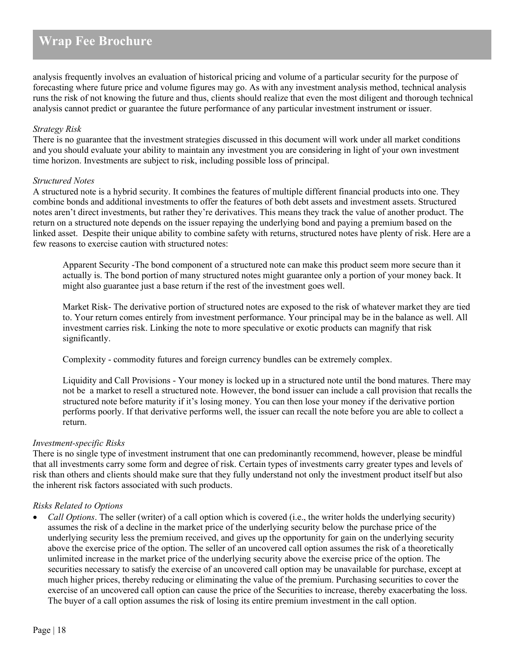analysis frequently involves an evaluation of historical pricing and volume of a particular security for the purpose of forecasting where future price and volume figures may go. As with any investment analysis method, technical analysis runs the risk of not knowing the future and thus, clients should realize that even the most diligent and thorough technical analysis cannot predict or guarantee the future performance of any particular investment instrument or issuer.

#### *Strategy Risk*

There is no guarantee that the investment strategies discussed in this document will work under all market conditions and you should evaluate your ability to maintain any investment you are considering in light of your own investment time horizon. Investments are subject to risk, including possible loss of principal.

#### *Structured Notes*

A structured note is a hybrid security. It combines the features of multiple different financial products into one. They combine bonds and additional investments to offer the features of both debt assets and investment assets. Structured notes aren't direct investments, but rather they're derivatives. This means they track the value of another product. The return on a structured note depends on the issuer repaying the underlying bond and paying a premium based on the linked asset. Despite their unique ability to combine safety with returns, structured notes have plenty of risk. Here are a few reasons to exercise caution with structured notes:

Apparent Security -The bond component of a structured note can make this product seem more secure than it actually is. The bond portion of many structured notes might guarantee only a portion of your money back. It might also guarantee just a base return if the rest of the investment goes well.

Market Risk- The derivative portion of structured notes are exposed to the risk of whatever market they are tied to. Your return comes entirely from investment performance. Your principal may be in the balance as well. All investment carries risk. Linking the note to more speculative or exotic products can magnify that risk significantly.

Complexity - commodity futures and foreign currency bundles can be extremely complex.

Liquidity and Call Provisions - Your money is locked up in a structured note until the bond matures. There may not be a market to resell a structured note. However, the bond issuer can include a call provision that recalls the structured note before maturity if it's losing money. You can then lose your money if the derivative portion performs poorly. If that derivative performs well, the issuer can recall the note before you are able to collect a return.

#### *Investment-specific Risks*

There is no single type of investment instrument that one can predominantly recommend, however, please be mindful that all investments carry some form and degree of risk. Certain types of investments carry greater types and levels of risk than others and clients should make sure that they fully understand not only the investment product itself but also the inherent risk factors associated with such products.

#### *Risks Related to Options*

• *Call Options*. The seller (writer) of a call option which is covered (i.e., the writer holds the underlying security) assumes the risk of a decline in the market price of the underlying security below the purchase price of the underlying security less the premium received, and gives up the opportunity for gain on the underlying security above the exercise price of the option. The seller of an uncovered call option assumes the risk of a theoretically unlimited increase in the market price of the underlying security above the exercise price of the option. The securities necessary to satisfy the exercise of an uncovered call option may be unavailable for purchase, except at much higher prices, thereby reducing or eliminating the value of the premium. Purchasing securities to cover the exercise of an uncovered call option can cause the price of the Securities to increase, thereby exacerbating the loss. The buyer of a call option assumes the risk of losing its entire premium investment in the call option.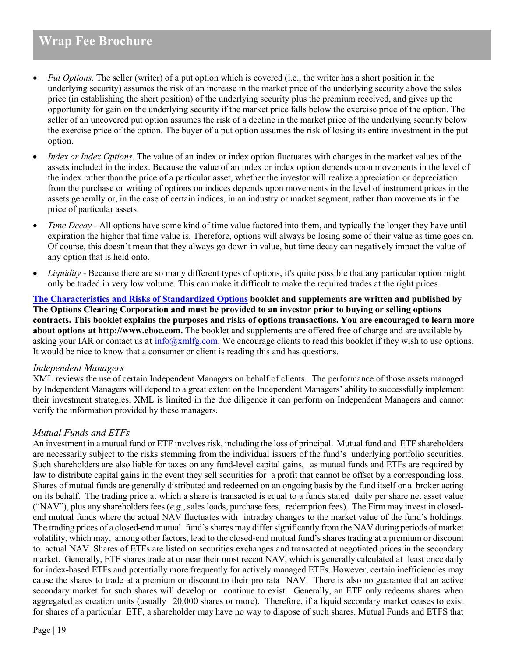• *Put Options.* The seller (writer) of a put option which is covered (i.e., the writer has a short position in the underlying security) assumes the risk of an increase in the market price of the underlying security above the sales price (in establishing the short position) of the underlying security plus the premium received, and gives up the opportunity for gain on the underlying security if the market price falls below the exercise price of the option. The seller of an uncovered put option assumes the risk of a decline in the market price of the underlying security below the exercise price of the option. The buyer of a put option assumes the risk of losing its entire investment in the put option.

- *Index or Index Options.* The value of an index or index option fluctuates with changes in the market values of the assets included in the index. Because the value of an index or index option depends upon movements in the level of the index rather than the price of a particular asset, whether the investor will realize appreciation or depreciation from the purchase or writing of options on indices depends upon movements in the level of instrument prices in the assets generally or, in the case of certain indices, in an industry or market segment, rather than movements in the price of particular assets.
- *Time Decay* All options have some kind of time value factored into them, and typically the longer they have until expiration the higher that time value is. Therefore, options will always be losing some of their value as time goes on. Of course, this doesn't mean that they always go down in value, but time decay can negatively impact the value of any option that is held onto.
- *Liquidity* Because there are so many different types of options, it's quite possible that any particular option might only be traded in very low volume. This can make it difficult to make the required trades at the right prices.

**[The Characteristics and Risks of Standardized Options](https://www.theocc.com/Company-Information/Documents-and-Archives/Publications) booklet and supplements are written and published by The Options Clearing Corporation and must be provided to an investor prior to buying or selling options contracts. This booklet explains the purposes and risks of options transactions. You are encouraged to learn more about options at http://www.cboe.com.** The booklet and supplements are offered free of charge and are available by asking your IAR or contact us at  $info@xmlfg.com$ . We encourage clients to read this booklet if they wish to use options. It would be nice to know that a consumer or client is reading this and has questions.

#### *Independent Managers*

XML reviews the use of certain Independent Managers on behalf of clients. The performance of those assets managed by Independent Managers will depend to a great extent on the Independent Managers' ability to successfully implement their investment strategies. XML is limited in the due diligence it can perform on Independent Managers and cannot verify the information provided by these managers.

# *Mutual Funds and ETFs*

An investment in a mutual fund or ETF involves risk, including the loss of principal. Mutual fund and ETF shareholders are necessarily subject to the risks stemming from the individual issuers of the fund's underlying portfolio securities. Such shareholders are also liable for taxes on any fund-level capital gains, as mutual funds and ETFs are required by law to distribute capital gains in the event they sell securities for a profit that cannot be offset by a corresponding loss. Shares of mutual funds are generally distributed and redeemed on an ongoing basis by the fund itself or a broker acting on its behalf. The trading price at which a share is transacted is equal to a funds stated daily per share net asset value ("NAV"), plus any shareholders fees (*e.g*., sales loads, purchase fees, redemption fees). The Firm may invest in closedend mutual funds where the actual NAV fluctuates with intraday changes to the market value of the fund's holdings. The trading prices of a closed-end mutual fund's shares may differ significantly from the NAV during periods of market volatility, which may, among other factors, lead to the closed-end mutual fund's shares trading at a premium or discount to actual NAV. Shares of ETFs are listed on securities exchanges and transacted at negotiated prices in the secondary market. Generally, ETF shares trade at or near their most recent NAV, which is generally calculated at least once daily for index-based ETFs and potentially more frequently for actively managed ETFs. However, certain inefficiencies may cause the shares to trade at a premium or discount to their pro rata NAV. There is also no guarantee that an active secondary market for such shares will develop or continue to exist. Generally, an ETF only redeems shares when aggregated as creation units (usually 20,000 shares or more). Therefore, if a liquid secondary market ceases to exist for shares of a particular ETF, a shareholder may have no way to dispose of such shares. Mutual Funds and ETFS that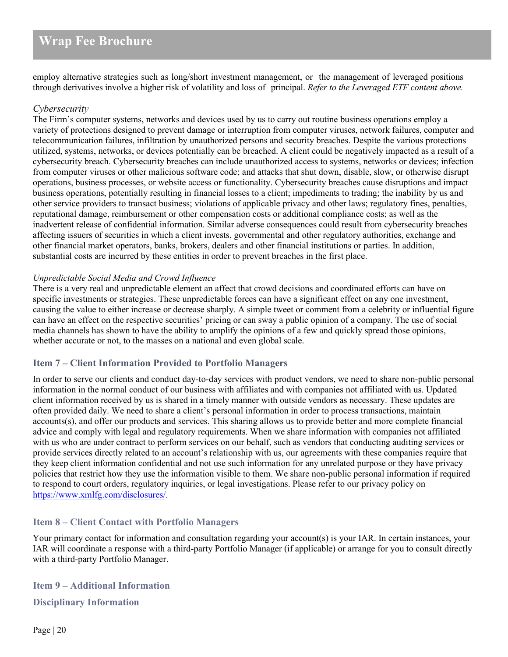employ alternative strategies such as long/short investment management, or the management of leveraged positions through derivatives involve a higher risk of volatility and loss of principal. *Refer to the Leveraged ETF content above.*

#### *Cybersecurity*

The Firm's computer systems, networks and devices used by us to carry out routine business operations employ a variety of protections designed to prevent damage or interruption from computer viruses, network failures, computer and telecommunication failures, infiltration by unauthorized persons and security breaches. Despite the various protections utilized, systems, networks, or devices potentially can be breached. A client could be negatively impacted as a result of a cybersecurity breach. Cybersecurity breaches can include unauthorized access to systems, networks or devices; infection from computer viruses or other malicious software code; and attacks that shut down, disable, slow, or otherwise disrupt operations, business processes, or website access or functionality. Cybersecurity breaches cause disruptions and impact business operations, potentially resulting in financial losses to a client; impediments to trading; the inability by us and other service providers to transact business; violations of applicable privacy and other laws; regulatory fines, penalties, reputational damage, reimbursement or other compensation costs or additional compliance costs; as well as the inadvertent release of confidential information. Similar adverse consequences could result from cybersecurity breaches affecting issuers of securities in which a client invests, governmental and other regulatory authorities, exchange and other financial market operators, banks, brokers, dealers and other financial institutions or parties. In addition, substantial costs are incurred by these entities in order to prevent breaches in the first place.

#### *Unpredictable Social Media and Crowd Influence*

There is a very real and unpredictable element an affect that crowd decisions and coordinated efforts can have on specific investments or strategies. These unpredictable forces can have a significant effect on any one investment, causing the value to either increase or decrease sharply. A simple tweet or comment from a celebrity or influential figure can have an effect on the respective securities' pricing or can sway a public opinion of a company. The use of social media channels has shown to have the ability to amplify the opinions of a few and quickly spread those opinions, whether accurate or not, to the masses on a national and even global scale.

# <span id="page-19-0"></span>**Item 7 – Client Information Provided to Portfolio Managers**

In order to serve our clients and conduct day-to-day services with product vendors, we need to share non-public personal information in the normal conduct of our business with affiliates and with companies not affiliated with us. Updated client information received by us is shared in a timely manner with outside vendors as necessary. These updates are often provided daily. We need to share a client's personal information in order to process transactions, maintain accounts(s), and offer our products and services. This sharing allows us to provide better and more complete financial advice and comply with legal and regulatory requirements. When we share information with companies not affiliated with us who are under contract to perform services on our behalf, such as vendors that conducting auditing services or provide services directly related to an account's relationship with us, our agreements with these companies require that they keep client information confidential and not use such information for any unrelated purpose or they have privacy policies that restrict how they use the information visible to them. We share non-public personal information if required to respond to court orders, regulatory inquiries, or legal investigations. Please refer to our privacy policy on [https://www.xmlfg.com/disclosures/.](https://www.xmlfg.com/disclosures/)

# <span id="page-19-1"></span>**Item 8 – Client Contact with Portfolio Managers**

Your primary contact for information and consultation regarding your account(s) is your IAR. In certain instances, your IAR will coordinate a response with a third-party Portfolio Manager (if applicable) or arrange for you to consult directly with a third-party Portfolio Manager.

<span id="page-19-2"></span>**Item 9 – Additional Information** 

<span id="page-19-3"></span>**Disciplinary Information**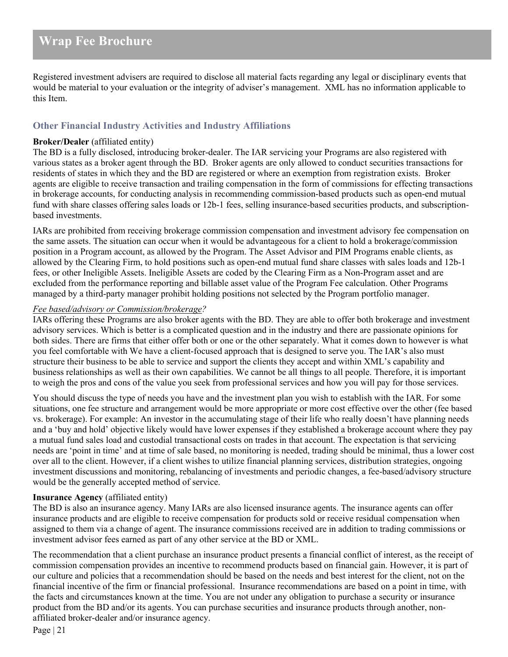Registered investment advisers are required to disclose all material facts regarding any legal or disciplinary events that would be material to your evaluation or the integrity of adviser's management. XML has no information applicable to this Item.

# <span id="page-20-0"></span>**Other Financial Industry Activities and Industry Affiliations**

#### **Broker/Dealer** (affiliated entity)

The BD is a fully disclosed, introducing broker-dealer. The IAR servicing your Programs are also registered with various states as a broker agent through the BD. Broker agents are only allowed to conduct securities transactions for residents of states in which they and the BD are registered or where an exemption from registration exists. Broker agents are eligible to receive transaction and trailing compensation in the form of commissions for effecting transactions in brokerage accounts, for conducting analysis in recommending commission-based products such as open-end mutual fund with share classes offering sales loads or 12b-1 fees, selling insurance-based securities products, and subscriptionbased investments.

IARs are prohibited from receiving brokerage commission compensation and investment advisory fee compensation on the same assets. The situation can occur when it would be advantageous for a client to hold a brokerage/commission position in a Program account, as allowed by the Program. The Asset Advisor and PIM Programs enable clients, as allowed by the Clearing Firm, to hold positions such as open-end mutual fund share classes with sales loads and 12b-1 fees, or other Ineligible Assets. Ineligible Assets are coded by the Clearing Firm as a Non-Program asset and are excluded from the performance reporting and billable asset value of the Program Fee calculation. Other Programs managed by a third-party manager prohibit holding positions not selected by the Program portfolio manager.

### *Fee based/advisory or Commission/brokerage?*

IARs offering these Programs are also broker agents with the BD. They are able to offer both brokerage and investment advisory services. Which is better is a complicated question and in the industry and there are passionate opinions for both sides. There are firms that either offer both or one or the other separately. What it comes down to however is what you feel comfortable with We have a client-focused approach that is designed to serve you. The IAR's also must structure their business to be able to service and support the clients they accept and within XML's capability and business relationships as well as their own capabilities. We cannot be all things to all people. Therefore, it is important to weigh the pros and cons of the value you seek from professional services and how you will pay for those services.

You should discuss the type of needs you have and the investment plan you wish to establish with the IAR. For some situations, one fee structure and arrangement would be more appropriate or more cost effective over the other (fee based vs. brokerage). For example: An investor in the accumulating stage of their life who really doesn't have planning needs and a 'buy and hold' objective likely would have lower expenses if they established a brokerage account where they pay a mutual fund sales load and custodial transactional costs on trades in that account. The expectation is that servicing needs are 'point in time' and at time of sale based, no monitoring is needed, trading should be minimal, thus a lower cost over all to the client. However, if a client wishes to utilize financial planning services, distribution strategies, ongoing investment discussions and monitoring, rebalancing of investments and periodic changes, a fee-based/advisory structure would be the generally accepted method of service.

# **Insurance Agency** (affiliated entity)

The BD is also an insurance agency. Many IARs are also licensed insurance agents. The insurance agents can offer insurance products and are eligible to receive compensation for products sold or receive residual compensation when assigned to them via a change of agent. The insurance commissions received are in addition to trading commissions or investment advisor fees earned as part of any other service at the BD or XML.

The recommendation that a client purchase an insurance product presents a financial conflict of interest, as the receipt of commission compensation provides an incentive to recommend products based on financial gain. However, it is part of our culture and policies that a recommendation should be based on the needs and best interest for the client, not on the financial incentive of the firm or financial professional. Insurance recommendations are based on a point in time, with the facts and circumstances known at the time. You are not under any obligation to purchase a security or insurance product from the BD and/or its agents. You can purchase securities and insurance products through another, nonaffiliated broker-dealer and/or insurance agency.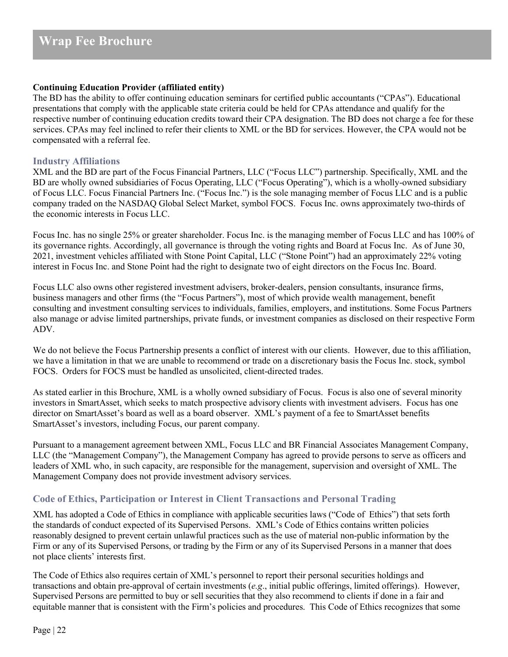## **Continuing Education Provider (affiliated entity)**

The BD has the ability to offer continuing education seminars for certified public accountants ("CPAs"). Educational presentations that comply with the applicable state criteria could be held for CPAs attendance and qualify for the respective number of continuing education credits toward their CPA designation. The BD does not charge a fee for these services. CPAs may feel inclined to refer their clients to XML or the BD for services. However, the CPA would not be compensated with a referral fee.

## **Industry Affiliations**

XML and the BD are part of the Focus Financial Partners, LLC ("Focus LLC") partnership. Specifically, XML and the BD are wholly owned subsidiaries of Focus Operating, LLC ("Focus Operating"), which is a wholly-owned subsidiary of Focus LLC. Focus Financial Partners Inc. ("Focus Inc.") is the sole managing member of Focus LLC and is a public company traded on the NASDAQ Global Select Market, symbol FOCS. Focus Inc. owns approximately two-thirds of the economic interests in Focus LLC.

Focus Inc. has no single 25% or greater shareholder. Focus Inc. is the managing member of Focus LLC and has 100% of its governance rights. Accordingly, all governance is through the voting rights and Board at Focus Inc. As of June 30, 2021, investment vehicles affiliated with Stone Point Capital, LLC ("Stone Point") had an approximately 22% voting interest in Focus Inc. and Stone Point had the right to designate two of eight directors on the Focus Inc. Board.

Focus LLC also owns other registered investment advisers, broker-dealers, pension consultants, insurance firms, business managers and other firms (the "Focus Partners"), most of which provide wealth management, benefit consulting and investment consulting services to individuals, families, employers, and institutions. Some Focus Partners also manage or advise limited partnerships, private funds, or investment companies as disclosed on their respective Form ADV.

We do not believe the Focus Partnership presents a conflict of interest with our clients. However, due to this affiliation, we have a limitation in that we are unable to recommend or trade on a discretionary basis the Focus Inc. stock, symbol FOCS. Orders for FOCS must be handled as unsolicited, client-directed trades.

As stated earlier in this Brochure, XML is a wholly owned subsidiary of Focus. Focus is also one of several minority investors in SmartAsset, which seeks to match prospective advisory clients with investment advisers. Focus has one director on SmartAsset's board as well as a board observer. XML's payment of a fee to SmartAsset benefits SmartAsset's investors, including Focus, our parent company.

Pursuant to a management agreement between XML, Focus LLC and BR Financial Associates Management Company, LLC (the "Management Company"), the Management Company has agreed to provide persons to serve as officers and leaders of XML who, in such capacity, are responsible for the management, supervision and oversight of XML. The Management Company does not provide investment advisory services.

# <span id="page-21-0"></span>**Code of Ethics, Participation or Interest in Client Transactions and Personal Trading**

XML has adopted a Code of Ethics in compliance with applicable securities laws ("Code of Ethics") that sets forth the standards of conduct expected of its Supervised Persons. XML's Code of Ethics contains written policies reasonably designed to prevent certain unlawful practices such as the use of material non-public information by the Firm or any of its Supervised Persons, or trading by the Firm or any of its Supervised Persons in a manner that does not place clients' interests first.

The Code of Ethics also requires certain of XML's personnel to report their personal securities holdings and transactions and obtain pre-approval of certain investments (*e.g*., initial public offerings, limited offerings). However, Supervised Persons are permitted to buy or sell securities that they also recommend to clients if done in a fair and equitable manner that is consistent with the Firm's policies and procedures. This Code of Ethics recognizes that some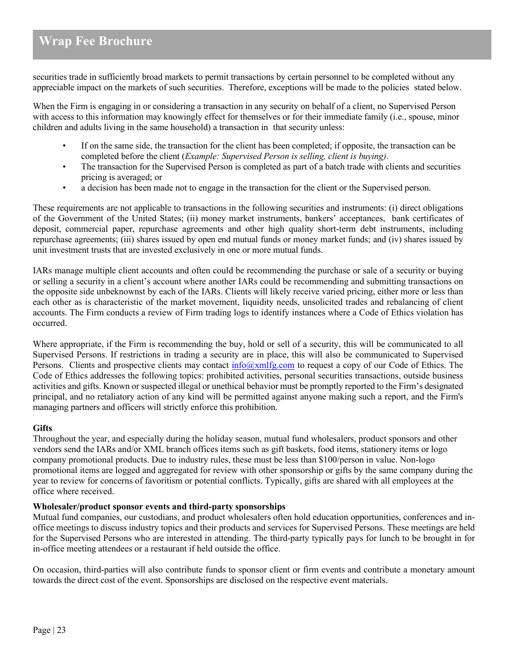securities trade in sufficiently broad markets to permit transactions by certain personnel to be completed without any appreciable impact on the markets of such securities. Therefore, exceptions will be made to the policies stated below.

When the Firm is engaging in or considering a transaction in any security on behalf of a client, no Supervised Person with access to this information may knowingly effect for themselves or for their immediate family (i.e., spouse, minor children and adults living in the same household) a transaction in that security unless:

- If on the same side, the transaction for the client has been completed; if opposite, the transaction can be completed before the client (*Example: Supervised Person is selling, client is buying)*.
- The transaction for the Supervised Person is completed as part of a batch trade with clients and securities pricing is averaged; or
- a decision has been made not to engage in the transaction for the client or the Supervised person.

These requirements are not applicable to transactions in the following securities and instruments: (i) direct obligations of the Government of the United States; (ii) money market instruments, bankers' acceptances, bank certificates of deposit, commercial paper, repurchase agreements and other high quality short-term debt instruments, including repurchase agreements; (iii) shares issued by open end mutual funds or money market funds; and (iv) shares issued by unit investment trusts that are invested exclusively in one or more mutual funds.

IARs manage multiple client accounts and often could be recommending the purchase or sale of a security or buying or selling a security in a client's account where another IARs could be recommending and submitting transactions on the opposite side unbeknownst by each of the IARs. Clients will likely receive varied pricing, either more or less than each other as is characteristic of the market movement, liquidity needs, unsolicited trades and rebalancing of client accounts. The Firm conducts a review of Firm trading logs to identify instances where a Code of Ethics violation has occurred.

Where appropriate, if the Firm is recommending the buy, hold or sell of a security, this will be communicated to all Supervised Persons. If restrictions in trading a security are in place, this will also be communicated to Supervised Persons. Clients and prospective clients may contact  $\frac{info(Qxmlfg.com)}{info(Qxmlfg.com)}$  to request a copy of our Code of Ethics. The Code of Ethics addresses the following topics: prohibited activities, personal securities transactions, outside business activities and gifts. Known or suspected illegal or unethical behavior must be promptly reported to the Firm's designated principal, and no retaliatory action of any kind will be permitted against anyone making such a report, and the Firm's managing partners and officers will strictly enforce this prohibition.

#### **Gifts**

Throughout the year, and especially during the holiday season, mutual fund wholesalers, product sponsors and other vendors send the IARs and/or XML branch offices items such as gift baskets, food items, stationery items or logo company promotional products. Due to industry rules, these must be less than \$100/person in value. Non-logo promotional items are logged and aggregated for review with other sponsorship or gifts by the same company during the year to review for concerns of favoritism or potential conflicts. Typically, gifts are shared with all employees at the office where received.

#### **Wholesaler/product sponsor events and third-party sponsorships**

Mutual fund companies, our custodians, and product wholesalers often hold education opportunities, conferences and inoffice meetings to discuss industry topics and their products and services for Supervised Persons. These meetings are held for the Supervised Persons who are interested in attending. The third-party typically pays for lunch to be brought in for in-office meeting attendees or a restaurant if held outside the office.

On occasion, third-parties will also contribute funds to sponsor client or firm events and contribute a monetary amount towards the direct cost of the event. Sponsorships are disclosed on the respective event materials.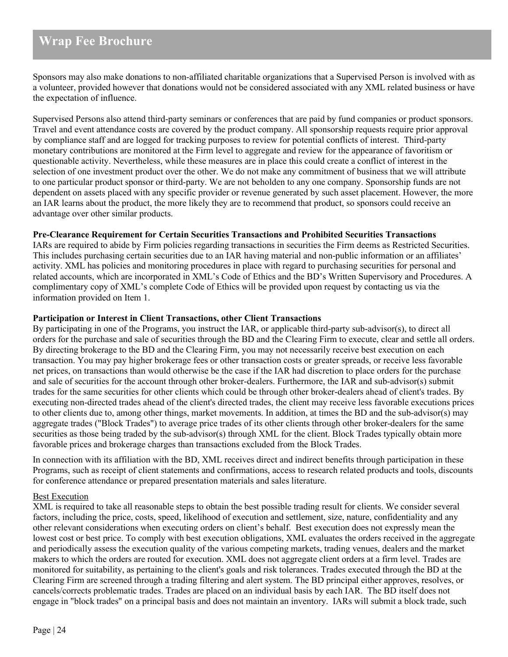Sponsors may also make donations to non-affiliated charitable organizations that a Supervised Person is involved with as a volunteer, provided however that donations would not be considered associated with any XML related business or have the expectation of influence.

Supervised Persons also attend third-party seminars or conferences that are paid by fund companies or product sponsors. Travel and event attendance costs are covered by the product company. All sponsorship requests require prior approval by compliance staff and are logged for tracking purposes to review for potential conflicts of interest. Third-party monetary contributions are monitored at the Firm level to aggregate and review for the appearance of favoritism or questionable activity. Nevertheless, while these measures are in place this could create a conflict of interest in the selection of one investment product over the other. We do not make any commitment of business that we will attribute to one particular product sponsor or third-party. We are not beholden to any one company. Sponsorship funds are not dependent on assets placed with any specific provider or revenue generated by such asset placement. However, the more an IAR learns about the product, the more likely they are to recommend that product, so sponsors could receive an advantage over other similar products.

# **Pre-Clearance Requirement for Certain Securities Transactions and Prohibited Securities Transactions**

IARs are required to abide by Firm policies regarding transactions in securities the Firm deems as Restricted Securities. This includes purchasing certain securities due to an IAR having material and non-public information or an affiliates' activity. XML has policies and monitoring procedures in place with regard to purchasing securities for personal and related accounts, which are incorporated in XML's Code of Ethics and the BD's Written Supervisory and Procedures. A complimentary copy of XML's complete Code of Ethics will be provided upon request by contacting us via the information provided on Item 1.

### **Participation or Interest in Client Transactions, other Client Transactions**

By participating in one of the Programs, you instruct the IAR, or applicable third-party sub-advisor(s), to direct all orders for the purchase and sale of securities through the BD and the Clearing Firm to execute, clear and settle all orders. By directing brokerage to the BD and the Clearing Firm, you may not necessarily receive best execution on each transaction. You may pay higher brokerage fees or other transaction costs or greater spreads, or receive less favorable net prices, on transactions than would otherwise be the case if the IAR had discretion to place orders for the purchase and sale of securities for the account through other broker-dealers. Furthermore, the IAR and sub-advisor(s) submit trades for the same securities for other clients which could be through other broker-dealers ahead of client's trades. By executing non-directed trades ahead of the client's directed trades, the client may receive less favorable executions prices to other clients due to, among other things, market movements. In addition, at times the BD and the sub-advisor(s) may aggregate trades ("Block Trades") to average price trades of its other clients through other broker-dealers for the same securities as those being traded by the sub-advisor(s) through XML for the client. Block Trades typically obtain more favorable prices and brokerage charges than transactions excluded from the Block Trades.

In connection with its affiliation with the BD, XML receives direct and indirect benefits through participation in these Programs, such as receipt of client statements and confirmations, access to research related products and tools, discounts for conference attendance or prepared presentation materials and sales literature.

#### Best Execution

XML is required to take all reasonable steps to obtain the best possible trading result for clients. We consider several factors, including the price, costs, speed, likelihood of execution and settlement, size, nature, confidentiality and any other relevant considerations when executing orders on client's behalf. Best execution does not expressly mean the lowest cost or best price. To comply with best execution obligations, XML evaluates the orders received in the aggregate and periodically assess the execution quality of the various competing markets, trading venues, dealers and the market makers to which the orders are routed for execution. XML does not aggregate client orders at a firm level. Trades are monitored for suitability, as pertaining to the client's goals and risk tolerances. Trades executed through the BD at the Clearing Firm are screened through a trading filtering and alert system. The BD principal either approves, resolves, or cancels/corrects problematic trades. Trades are placed on an individual basis by each IAR. The BD itself does not engage in "block trades" on a principal basis and does not maintain an inventory. IARs will submit a block trade, such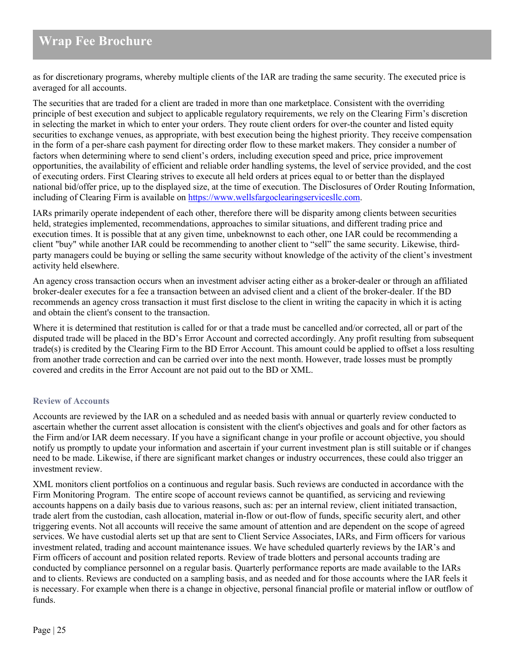as for discretionary programs, whereby multiple clients of the IAR are trading the same security. The executed price is averaged for all accounts.

The securities that are traded for a client are traded in more than one marketplace. Consistent with the overriding principle of best execution and subject to applicable regulatory requirements, we rely on the Clearing Firm's discretion in selecting the market in which to enter your orders. They route client orders for over-the counter and listed equity securities to exchange venues, as appropriate, with best execution being the highest priority. They receive compensation in the form of a per-share cash payment for directing order flow to these market makers. They consider a number of factors when determining where to send client's orders, including execution speed and price, price improvement opportunities, the availability of efficient and reliable order handling systems, the level of service provided, and the cost of executing orders. First Clearing strives to execute all held orders at prices equal to or better than the displayed national bid/offer price, up to the displayed size, at the time of execution. The Disclosures of Order Routing Information, including of Clearing Firm is available on [https://www.wellsfargoclearingservicesllc.com.](https://www.wellsfargoclearingservicesllc.com/)

IARs primarily operate independent of each other, therefore there will be disparity among clients between securities held, strategies implemented, recommendations, approaches to similar situations, and different trading price and execution times. It is possible that at any given time, unbeknownst to each other, one IAR could be recommending a client "buy" while another IAR could be recommending to another client to "sell" the same security. Likewise, thirdparty managers could be buying or selling the same security without knowledge of the activity of the client's investment activity held elsewhere.

An agency cross transaction occurs when an investment adviser acting either as a broker-dealer or through an affiliated broker-dealer executes for a fee a transaction between an advised client and a client of the broker-dealer. If the BD recommends an agency cross transaction it must first disclose to the client in writing the capacity in which it is acting and obtain the client's consent to the transaction.

Where it is determined that restitution is called for or that a trade must be cancelled and/or corrected, all or part of the disputed trade will be placed in the BD's Error Account and corrected accordingly. Any profit resulting from subsequent trade(s) is credited by the Clearing Firm to the BD Error Account. This amount could be applied to offset a loss resulting from another trade correction and can be carried over into the next month. However, trade losses must be promptly covered and credits in the Error Account are not paid out to the BD or XML.

# <span id="page-24-0"></span>**Review of Accounts**

Accounts are reviewed by the IAR on a scheduled and as needed basis with annual or quarterly review conducted to ascertain whether the current asset allocation is consistent with the client's objectives and goals and for other factors as the Firm and/or IAR deem necessary. If you have a significant change in your profile or account objective, you should notify us promptly to update your information and ascertain if your current investment plan is still suitable or if changes need to be made. Likewise, if there are significant market changes or industry occurrences, these could also trigger an investment review.

XML monitors client portfolios on a continuous and regular basis. Such reviews are conducted in accordance with the Firm Monitoring Program. The entire scope of account reviews cannot be quantified, as servicing and reviewing accounts happens on a daily basis due to various reasons, such as: per an internal review, client initiated transaction, trade alert from the custodian, cash allocation, material in-flow or out-flow of funds, specific security alert, and other triggering events. Not all accounts will receive the same amount of attention and are dependent on the scope of agreed services. We have custodial alerts set up that are sent to Client Service Associates, IARs, and Firm officers for various investment related, trading and account maintenance issues. We have scheduled quarterly reviews by the IAR's and Firm officers of account and position related reports. Review of trade blotters and personal accounts trading are conducted by compliance personnel on a regular basis. Quarterly performance reports are made available to the IARs and to clients. Reviews are conducted on a sampling basis, and as needed and for those accounts where the IAR feels it is necessary. For example when there is a change in objective, personal financial profile or material inflow or outflow of funds.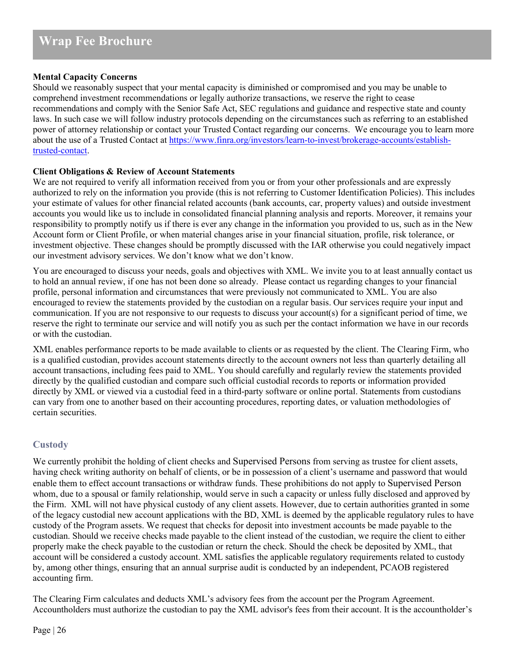### **Mental Capacity Concerns**

Should we reasonably suspect that your mental capacity is diminished or compromised and you may be unable to comprehend investment recommendations or legally authorize transactions, we reserve the right to cease recommendations and comply with the Senior Safe Act, SEC regulations and guidance and respective state and county laws. In such case we will follow industry protocols depending on the circumstances such as referring to an established power of attorney relationship or contact your Trusted Contact regarding our concerns. We encourage you to learn more about the use of a Trusted Contact at [https://www.finra.org/investors/learn-to-invest/brokerage-accounts/establish](https://www.finra.org/investors/learn-to-invest/brokerage-accounts/establish-trusted-contact)[trusted-contact.](https://www.finra.org/investors/learn-to-invest/brokerage-accounts/establish-trusted-contact)

### **Client Obligations & Review of Account Statements**

We are not required to verify all information received from you or from your other professionals and are expressly authorized to rely on the information you provide (this is not referring to Customer Identification Policies). This includes your estimate of values for other financial related accounts (bank accounts, car, property values) and outside investment accounts you would like us to include in consolidated financial planning analysis and reports. Moreover, it remains your responsibility to promptly notify us if there is ever any change in the information you provided to us, such as in the New Account form or Client Profile, or when material changes arise in your financial situation, profile, risk tolerance, or investment objective. These changes should be promptly discussed with the IAR otherwise you could negatively impact our investment advisory services. We don't know what we don't know.

You are encouraged to discuss your needs, goals and objectives with XML. We invite you to at least annually contact us to hold an annual review, if one has not been done so already. Please contact us regarding changes to your financial profile, personal information and circumstances that were previously not communicated to XML. You are also encouraged to review the statements provided by the custodian on a regular basis. Our services require your input and communication. If you are not responsive to our requests to discuss your account(s) for a significant period of time, we reserve the right to terminate our service and will notify you as such per the contact information we have in our records or with the custodian.

XML enables performance reports to be made available to clients or as requested by the client. The Clearing Firm, who is a qualified custodian, provides account statements directly to the account owners not less than quarterly detailing all account transactions, including fees paid to XML. You should carefully and regularly review the statements provided directly by the qualified custodian and compare such official custodial records to reports or information provided directly by XML or viewed via a custodial feed in a third-party software or online portal. Statements from custodians can vary from one to another based on their accounting procedures, reporting dates, or valuation methodologies of certain securities.

# **Custody**

We currently prohibit the holding of client checks and Supervised Persons from serving as trustee for client assets, having check writing authority on behalf of clients, or be in possession of a client's username and password that would enable them to effect account transactions or withdraw funds. These prohibitions do not apply to Supervised Person whom, due to a spousal or family relationship, would serve in such a capacity or unless fully disclosed and approved by the Firm. XML will not have physical custody of any client assets. However, due to certain authorities granted in some of the legacy custodial new account applications with the BD, XML is deemed by the applicable regulatory rules to have custody of the Program assets. We request that checks for deposit into investment accounts be made payable to the custodian. Should we receive checks made payable to the client instead of the custodian, we require the client to either properly make the check payable to the custodian or return the check. Should the check be deposited by XML, that account will be considered a custody account. XML satisfies the applicable regulatory requirements related to custody by, among other things, ensuring that an annual surprise audit is conducted by an independent, PCAOB registered accounting firm.

The Clearing Firm calculates and deducts XML's advisory fees from the account per the Program Agreement. Accountholders must authorize the custodian to pay the XML advisor's fees from their account. It is the accountholder's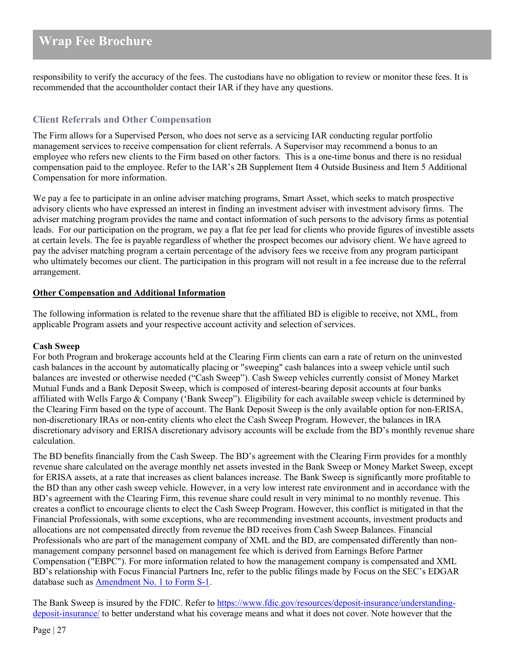responsibility to verify the accuracy of the fees. The custodians have no obligation to review or monitor these fees. It is recommended that the accountholder contact their IAR if they have any questions.

# <span id="page-26-0"></span>**Client Referrals and Other Compensation**

The Firm allows for a Supervised Person, who does not serve as a servicing IAR conducting regular portfolio management services to receive compensation for client referrals. A Supervisor may recommend a bonus to an employee who refers new clients to the Firm based on other factors. This is a one-time bonus and there is no residual compensation paid to the employee. Refer to the IAR's 2B Supplement Item 4 Outside Business and Item 5 Additional Compensation for more information.

We pay a fee to participate in an online adviser matching programs, Smart Asset, which seeks to match prospective advisory clients who have expressed an interest in finding an investment adviser with investment advisory firms. The adviser matching program provides the name and contact information of such persons to the advisory firms as potential leads. For our participation on the program, we pay a flat fee per lead for clients who provide figures of investible assets at certain levels. The fee is payable regardless of whether the prospect becomes our advisory client. We have agreed to pay the adviser matching program a certain percentage of the advisory fees we receive from any program participant who ultimately becomes our client. The participation in this program will not result in a fee increase due to the referral arrangement.

### **Other Compensation and Additional Information**

The following information is related to the revenue share that the affiliated BD is eligible to receive, not XML, from applicable Program assets and your respective account activity and selection of services.

#### **Cash Sweep**

For both Program and brokerage accounts held at the Clearing Firm clients can earn a rate of return on the uninvested cash balances in the account by automatically placing or "sweeping" cash balances into a sweep vehicle until such balances are invested or otherwise needed ("Cash Sweep"). Cash Sweep vehicles currently consist of Money Market Mutual Funds and a Bank Deposit Sweep, which is composed of interest-bearing deposit accounts at four banks affiliated with Wells Fargo & Company ('Bank Sweep"). Eligibility for each available sweep vehicle is determined by the Clearing Firm based on the type of account. The Bank Deposit Sweep is the only available option for non-ERISA, non-discretionary IRAs or non-entity clients who elect the Cash Sweep Program. However, the balances in IRA discretionary advisory and ERISA discretionary advisory accounts will be exclude from the BD's monthly revenue share calculation.

The BD benefits financially from the Cash Sweep. The BD's agreement with the Clearing Firm provides for a monthly revenue share calculated on the average monthly net assets invested in the Bank Sweep or Money Market Sweep, except for ERISA assets, at a rate that increases as client balances increase. The Bank Sweep is significantly more profitable to the BD than any other cash sweep vehicle. However, in a very low interest rate environment and in accordance with the BD's agreement with the Clearing Firm, this revenue share could result in very minimal to no monthly revenue. This creates a conflict to encourage clients to elect the Cash Sweep Program. However, this conflict is mitigated in that the Financial Professionals, with some exceptions, who are recommending investment accounts, investment products and allocations are not compensated directly from revenue the BD receives from Cash Sweep Balances. Financial Professionals who are part of the management company of XML and the BD, are compensated differently than nonmanagement company personnel based on management fee which is derived from Earnings Before Partner Compensation ("EBPC"). For more information related to how the management company is compensated and XML BD's relationship with Focus Financial Partners Inc, refer to the public filings made by Focus on the SEC's EDGAR database such as [Amendment No. 1 to](https://www.sec.gov/Archives/edgar/data/1651052/000104746918004821/a2236026zs-1a.htm) Form S-1.

The Bank Sweep is insured by the FDIC. Refer t[o https://www.fdic.gov/resources/deposit-insurance/understanding](https://www.fdic.gov/resources/deposit-insurance/understanding-deposit-insurance/)[deposit-insurance/](https://www.fdic.gov/resources/deposit-insurance/understanding-deposit-insurance/) to better understand what his coverage means and what it does not cover. Note however that the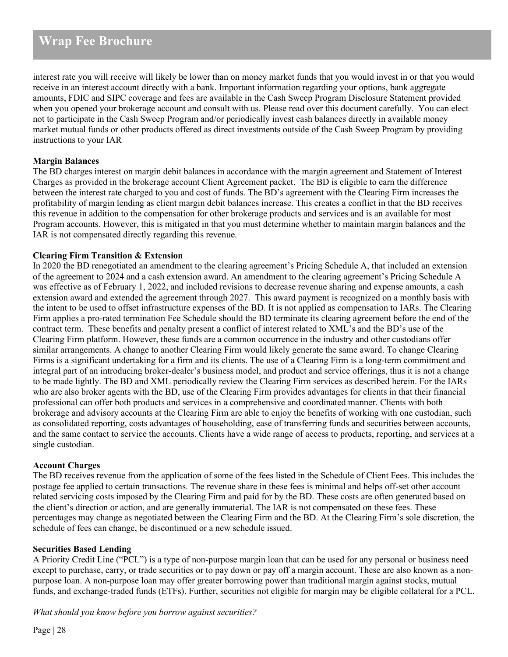interest rate you will receive will likely be lower than on money market funds that you would invest in or that you would receive in an interest account directly with a bank. Important information regarding your options, bank aggregate amounts, FDIC and SIPC coverage and fees are available in the Cash Sweep Program Disclosure Statement provided when you opened your brokerage account and consult with us. Please read over this document carefully. You can elect not to participate in the Cash Sweep Program and/or periodically invest cash balances directly in available money market mutual funds or other products offered as direct investments outside of the Cash Sweep Program by providing instructions to your IAR

## **Margin Balances**

The BD charges interest on margin debit balances in accordance with the margin agreement and Statement of Interest Charges as provided in the brokerage account Client Agreement packet. The BD is eligible to earn the difference between the interest rate charged to you and cost of funds. The BD's agreement with the Clearing Firm increases the profitability of margin lending as client margin debit balances increase. This creates a conflict in that the BD receives this revenue in addition to the compensation for other brokerage products and services and is an available for most Program accounts. However, this is mitigated in that you must determine whether to maintain margin balances and the IAR is not compensated directly regarding this revenue.

### **Clearing Firm Transition & Extension**

In 2020 the BD renegotiated an amendment to the clearing agreement's Pricing Schedule A, that included an extension of the agreement to 2024 and a cash extension award. An amendment to the clearing agreement's Pricing Schedule A was effective as of February 1, 2022, and included revisions to decrease revenue sharing and expense amounts, a cash extension award and extended the agreement through 2027. This award payment is recognized on a monthly basis with the intent to be used to offset infrastructure expenses of the BD. It is not applied as compensation to IARs. The Clearing Firm applies a pro-rated termination Fee Schedule should the BD terminate its clearing agreement before the end of the contract term. These benefits and penalty present a conflict of interest related to XML's and the BD's use of the Clearing Firm platform. However, these funds are a common occurrence in the industry and other custodians offer similar arrangements. A change to another Clearing Firm would likely generate the same award. To change Clearing Firms is a significant undertaking for a firm and its clients. The use of a Clearing Firm is a long-term commitment and integral part of an introducing broker-dealer's business model, and product and service offerings, thus it is not a change to be made lightly. The BD and XML periodically review the Clearing Firm services as described herein. For the IARs who are also broker agents with the BD, use of the Clearing Firm provides advantages for clients in that their financial professional can offer both products and services in a comprehensive and coordinated manner. Clients with both brokerage and advisory accounts at the Clearing Firm are able to enjoy the benefits of working with one custodian, such as consolidated reporting, costs advantages of householding, ease of transferring funds and securities between accounts, and the same contact to service the accounts. Clients have a wide range of access to products, reporting, and services at a single custodian.

#### **Account Charges**

The BD receives revenue from the application of some of the fees listed in the Schedule of Client Fees. This includes the postage fee applied to certain transactions. The revenue share in these fees is minimal and helps off-set other account related servicing costs imposed by the Clearing Firm and paid for by the BD. These costs are often generated based on the client's direction or action, and are generally immaterial. The IAR is not compensated on these fees. These percentages may change as negotiated between the Clearing Firm and the BD. At the Clearing Firm's sole discretion, the schedule of fees can change, be discontinued or a new schedule issued.

#### **Securities Based Lending**

A Priority Credit Line ("PCL") is a type of non-purpose margin loan that can be used for any personal or business need except to purchase, carry, or trade securities or to pay down or pay off a margin account. These are also known as a nonpurpose loan. A non-purpose loan may offer greater borrowing power than traditional margin against stocks, mutual funds, and exchange-traded funds (ETFs). Further, securities not eligible for margin may be eligible collateral for a PCL.

*What should you know before you borrow against securities?*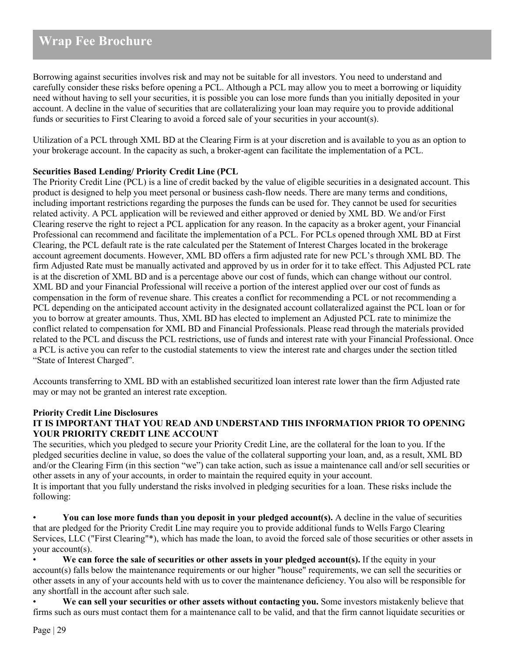Borrowing against securities involves risk and may not be suitable for all investors. You need to understand and carefully consider these risks before opening a PCL. Although a PCL may allow you to meet a borrowing or liquidity need without having to sell your securities, it is possible you can lose more funds than you initially deposited in your account. A decline in the value of securities that are collateralizing your loan may require you to provide additional funds or securities to First Clearing to avoid a forced sale of your securities in your account(s).

Utilization of a PCL through XML BD at the Clearing Firm is at your discretion and is available to you as an option to your brokerage account. In the capacity as such, a broker-agent can facilitate the implementation of a PCL.

### **Securities Based Lending/ Priority Credit Line (PCL**

The Priority Credit Line (PCL) is a line of credit backed by the value of eligible securities in a designated account. This product is designed to help you meet personal or business cash-flow needs. There are many terms and conditions, including important restrictions regarding the purposes the funds can be used for. They cannot be used for securities related activity. A PCL application will be reviewed and either approved or denied by XML BD. We and/or First Clearing reserve the right to reject a PCL application for any reason. In the capacity as a broker agent, your Financial Professional can recommend and facilitate the implementation of a PCL. For PCLs opened through XML BD at First Clearing, the PCL default rate is the rate calculated per the Statement of Interest Charges located in the brokerage account agreement documents. However, XML BD offers a firm adjusted rate for new PCL's through XML BD. The firm Adjusted Rate must be manually activated and approved by us in order for it to take effect. This Adjusted PCL rate is at the discretion of XML BD and is a percentage above our cost of funds, which can change without our control. XML BD and your Financial Professional will receive a portion of the interest applied over our cost of funds as compensation in the form of revenue share. This creates a conflict for recommending a PCL or not recommending a PCL depending on the anticipated account activity in the designated account collateralized against the PCL loan or for you to borrow at greater amounts. Thus, XML BD has elected to implement an Adjusted PCL rate to minimize the conflict related to compensation for XML BD and Financial Professionals. Please read through the materials provided related to the PCL and discuss the PCL restrictions, use of funds and interest rate with your Financial Professional. Once a PCL is active you can refer to the custodial statements to view the interest rate and charges under the section titled "State of Interest Charged".

Accounts transferring to XML BD with an established securitized loan interest rate lower than the firm Adjusted rate may or may not be granted an interest rate exception.

## **Priority Credit Line Disclosures IT IS IMPORTANT THAT YOU READ AND UNDERSTAND THIS INFORMATION PRIOR TO OPENING YOUR PRIORITY CREDIT LINE ACCOUNT**

The securities, which you pledged to secure your Priority Credit Line, are the collateral for the loan to you. If the pledged securities decline in value, so does the value of the collateral supporting your loan, and, as a result, XML BD and/or the Clearing Firm (in this section "we") can take action, such as issue a maintenance call and/or sell securities or other assets in any of your accounts, in order to maintain the required equity in your account. It is important that you fully understand the risks involved in pledging securities for a loan. These risks include the following:

• **You can lose more funds than you deposit in your pledged account(s).** A decline in the value of securities that are pledged for the Priority Credit Line may require you to provide additional funds to Wells Fargo Clearing Services, LLC ("First Clearing"\*), which has made the loan, to avoid the forced sale of those securities or other assets in your account(s).

• **We can force the sale of securities or other assets in your pledged account(s).** If the equity in your account(s) falls below the maintenance requirements or our higher "house" requirements, we can sell the securities or other assets in any of your accounts held with us to cover the maintenance deficiency. You also will be responsible for any shortfall in the account after such sale.

• **We can sell your securities or other assets without contacting you.** Some investors mistakenly believe that firms such as ours must contact them for a maintenance call to be valid, and that the firm cannot liquidate securities or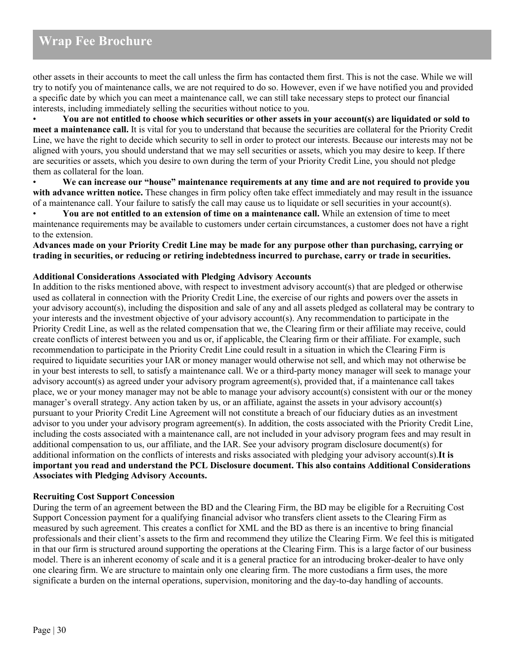other assets in their accounts to meet the call unless the firm has contacted them first. This is not the case. While we will try to notify you of maintenance calls, we are not required to do so. However, even if we have notified you and provided a specific date by which you can meet a maintenance call, we can still take necessary steps to protect our financial interests, including immediately selling the securities without notice to you.

• **You are not entitled to choose which securities or other assets in your account(s) are liquidated or sold to meet a maintenance call.** It is vital for you to understand that because the securities are collateral for the Priority Credit Line, we have the right to decide which security to sell in order to protect our interests. Because our interests may not be aligned with yours, you should understand that we may sell securities or assets, which you may desire to keep. If there are securities or assets, which you desire to own during the term of your Priority Credit Line, you should not pledge them as collateral for the loan.

• **We can increase our "house" maintenance requirements at any time and are not required to provide you with advance written notice.** These changes in firm policy often take effect immediately and may result in the issuance of a maintenance call. Your failure to satisfy the call may cause us to liquidate or sell securities in your account(s).

• **You are not entitled to an extension of time on a maintenance call.** While an extension of time to meet maintenance requirements may be available to customers under certain circumstances, a customer does not have a right to the extension.

**Advances made on your Priority Credit Line may be made for any purpose other than purchasing, carrying or trading in securities, or reducing or retiring indebtedness incurred to purchase, carry or trade in securities.**

### **Additional Considerations Associated with Pledging Advisory Accounts**

In addition to the risks mentioned above, with respect to investment advisory account(s) that are pledged or otherwise used as collateral in connection with the Priority Credit Line, the exercise of our rights and powers over the assets in your advisory account(s), including the disposition and sale of any and all assets pledged as collateral may be contrary to your interests and the investment objective of your advisory account(s). Any recommendation to participate in the Priority Credit Line, as well as the related compensation that we, the Clearing firm or their affiliate may receive, could create conflicts of interest between you and us or, if applicable, the Clearing firm or their affiliate. For example, such recommendation to participate in the Priority Credit Line could result in a situation in which the Clearing Firm is required to liquidate securities your IAR or money manager would otherwise not sell, and which may not otherwise be in your best interests to sell, to satisfy a maintenance call. We or a third-party money manager will seek to manage your advisory account(s) as agreed under your advisory program agreement(s), provided that, if a maintenance call takes place, we or your money manager may not be able to manage your advisory account(s) consistent with our or the money manager's overall strategy. Any action taken by us, or an affiliate, against the assets in your advisory account(s) pursuant to your Priority Credit Line Agreement will not constitute a breach of our fiduciary duties as an investment advisor to you under your advisory program agreement(s). In addition, the costs associated with the Priority Credit Line, including the costs associated with a maintenance call, are not included in your advisory program fees and may result in additional compensation to us, our affiliate, and the IAR. See your advisory program disclosure document(s) for additional information on the conflicts of interests and risks associated with pledging your advisory account(s).**It is important you read and understand the PCL Disclosure document. This also contains Additional Considerations Associates with Pledging Advisory Accounts.**

#### **Recruiting Cost Support Concession**

During the term of an agreement between the BD and the Clearing Firm, the BD may be eligible for a Recruiting Cost Support Concession payment for a qualifying financial advisor who transfers client assets to the Clearing Firm as measured by such agreement. This creates a conflict for XML and the BD as there is an incentive to bring financial professionals and their client's assets to the firm and recommend they utilize the Clearing Firm. We feel this is mitigated in that our firm is structured around supporting the operations at the Clearing Firm. This is a large factor of our business model. There is an inherent economy of scale and it is a general practice for an introducing broker-dealer to have only one clearing firm. We are structure to maintain only one clearing firm. The more custodians a firm uses, the more significate a burden on the internal operations, supervision, monitoring and the day-to-day handling of accounts.